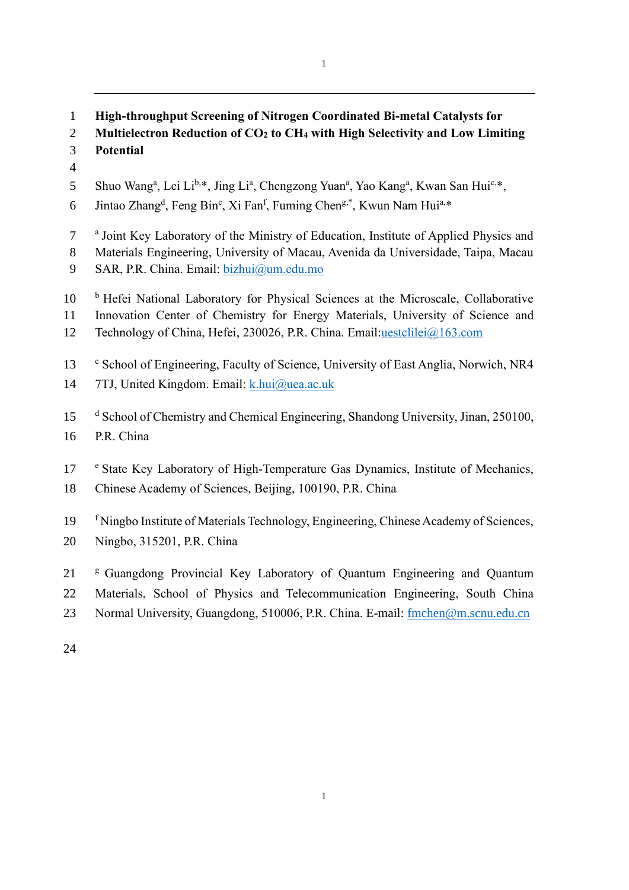**High-throughput Screening of Nitrogen Coordinated Bi-metal Catalysts for** 

- **Multielectron Reduction of CO<sup>2</sup> to CH<sup>4</sup> with High Selectivity and Low Limiting Potential**
- 
- 5 Shuo Wang<sup>a</sup>, Lei Li<sup>b,\*</sup>, Jing Li<sup>a</sup>, Chengzong Yuan<sup>a</sup>, Yao Kang<sup>a</sup>, Kwan San Hui<sup>c,\*</sup>,
- 6 Jintao Zhang<sup>d</sup>, Feng Bin<sup>e</sup>, Xi Fan<sup>f</sup>, Fuming Chen<sup>g,\*</sup>, Kwun Nam Hui<sup>a,\*</sup>
- <sup>2</sup> <sup>a</sup> Joint Key Laboratory of the Ministry of Education, Institute of Applied Physics and
- Materials Engineering, University of Macau, Avenida da Universidade, Taipa, Macau
- SAR, P.R. China. Email: [bizhui@um.edu.mo](mailto:bizhui@um.edu.mo)
- 10 <sup>b</sup> Hefei National Laboratory for Physical Sciences at the Microscale, Collaborative
- Innovation Center of Chemistry for Energy Materials, University of Science and
- Technology of China, Hefei, 230026, P.R. China. Email[:uestclilei@163.com](mailto:uestclilei@163.com)
- 13 <sup>c</sup> School of Engineering, Faculty of Science, University of East Anglia, Norwich, NR4
- 7TJ, United Kingdom. Email: [k.hui@uea.ac.uk](mailto:k.hui@uea.ac.uk)
- 15 d School of Chemistry and Chemical Engineering, Shandong University, Jinan, 250100, P.R. China
- 17 <sup>e</sup> State Key Laboratory of High-Temperature Gas Dynamics, Institute of Mechanics,
- Chinese Academy of Sciences, Beijing, 100190, P.R. China
- 19 f Ningbo Institute of Materials Technology, Engineering, Chinese Academy of Sciences,
- Ningbo, 315201, P.R. China
- 21 <sup>g</sup> Guangdong Provincial Key Laboratory of Quantum Engineering and Quantum
- Materials, School of Physics and Telecommunication Engineering, South China
- Normal University, Guangdong, 510006, P.R. China. E-mail: [fmchen@m.scnu.edu.cn](mailto:fmchen@m.scnu.edu.cn)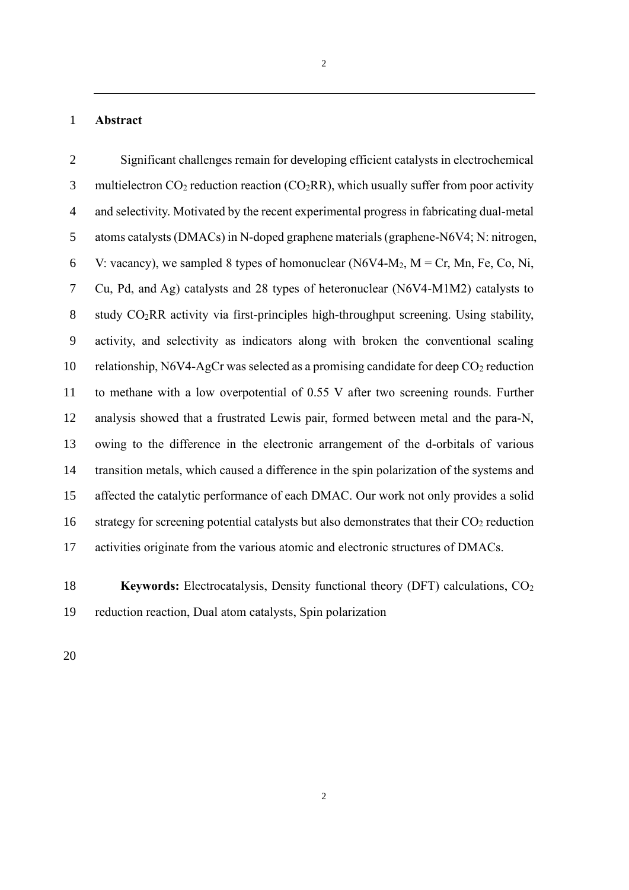#### **Abstract**

 Significant challenges remain for developing efficient catalysts in electrochemical 3 multielectron  $CO_2$  reduction reaction ( $CO_2RR$ ), which usually suffer from poor activity and selectivity. Motivated by the recent experimental progress in fabricating dual-metal atoms catalysts (DMACs) in N-doped graphene materials (graphene-N6V4; N: nitrogen, 6 V: vacancy), we sampled 8 types of homonuclear  $(N6V4-M_2, M = Cr, Mn, Fe, Co, Ni,$  Cu, Pd, and Ag) catalysts and 28 types of heteronuclear (N6V4-M1M2) catalysts to study CO2RR activity via first-principles high-throughput screening. Using stability, activity, and selectivity as indicators along with broken the conventional scaling 10 relationship, N6V4-AgCr was selected as a promising candidate for deep  $CO_2$  reduction to methane with a low overpotential of 0.55 V after two screening rounds. Further analysis showed that a frustrated Lewis pair, formed between metal and the para-N, owing to the difference in the electronic arrangement of the d-orbitals of various transition metals, which caused a difference in the spin polarization of the systems and affected the catalytic performance of each DMAC. Our work not only provides a solid 16 strategy for screening potential catalysts but also demonstrates that their  $CO<sub>2</sub>$  reduction activities originate from the various atomic and electronic structures of DMACs.

 **Keywords:** Electrocatalysis, Density functional theory (DFT) calculations, CO<sup>2</sup> reduction reaction, Dual atom catalysts, Spin polarization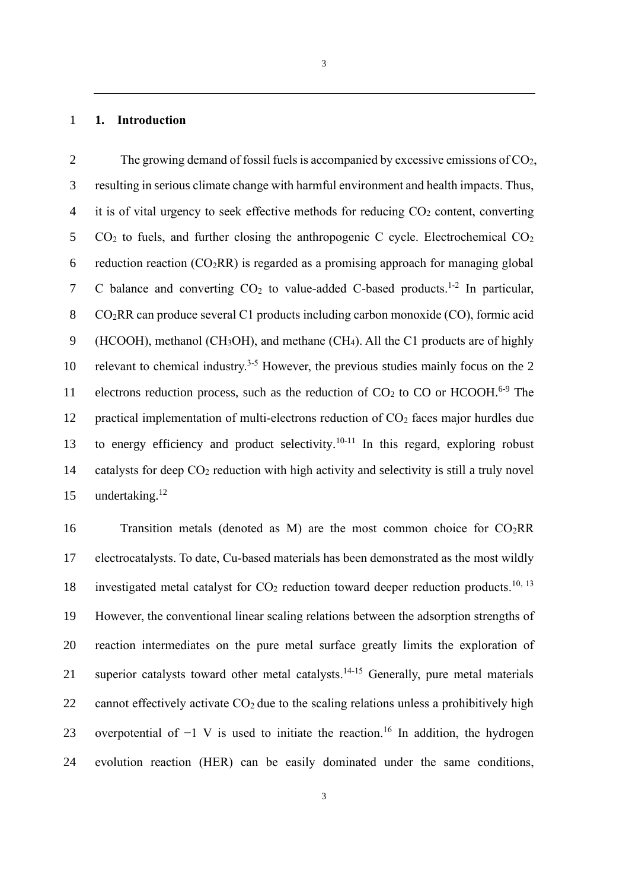#### 1 **1. Introduction**

2 The growing demand of fossil fuels is accompanied by excessive emissions of  $CO<sub>2</sub>$ , 3 resulting in serious climate change with harmful environment and health impacts. Thus, 4 it is of vital urgency to seek effective methods for reducing  $CO<sub>2</sub>$  content, converting  $5$  CO<sub>2</sub> to fuels, and further closing the anthropogenic C cycle. Electrochemical CO<sub>2</sub> 6 reduction reaction  $(CO<sub>2</sub>RR)$  is regarded as a promising approach for managing global 7 C balance and converting  $CO<sub>2</sub>$  to value-added C-based products.<sup>1-2</sup> In particular, 8 CO2RR can produce several C1 products including carbon monoxide (CO), formic acid 9 (HCOOH), methanol (CH3OH), and methane (CH4). All the C1 products are of highly 10 relevant to chemical industry.<sup>3-5</sup> However, the previous studies mainly focus on the 2 11 electrons reduction process, such as the reduction of  $CO<sub>2</sub>$  to CO or HCOOH.<sup>6-9</sup> The 12 practical implementation of multi-electrons reduction of CO<sub>2</sub> faces major hurdles due 13 to energy efficiency and product selectivity.<sup>10-11</sup> In this regard, exploring robust 14 catalysts for deep  $CO_2$  reduction with high activity and selectivity is still a truly novel 15 undertaking.<sup>12</sup>

16 Transition metals (denoted as M) are the most common choice for  $CO<sub>2</sub>RR$ 17 electrocatalysts. To date, Cu-based materials has been demonstrated as the most wildly 18 investigated metal catalyst for  $CO<sub>2</sub>$  reduction toward deeper reduction products.<sup>10, 13</sup> 19 However, the conventional linear scaling relations between the adsorption strengths of 20 reaction intermediates on the pure metal surface greatly limits the exploration of 21 superior catalysts toward other metal catalysts.<sup>14-15</sup> Generally, pure metal materials 22 cannot effectively activate  $CO<sub>2</sub>$  due to the scaling relations unless a prohibitively high 23 overpotential of  $-1$  V is used to initiate the reaction.<sup>16</sup> In addition, the hydrogen 24 evolution reaction (HER) can be easily dominated under the same conditions,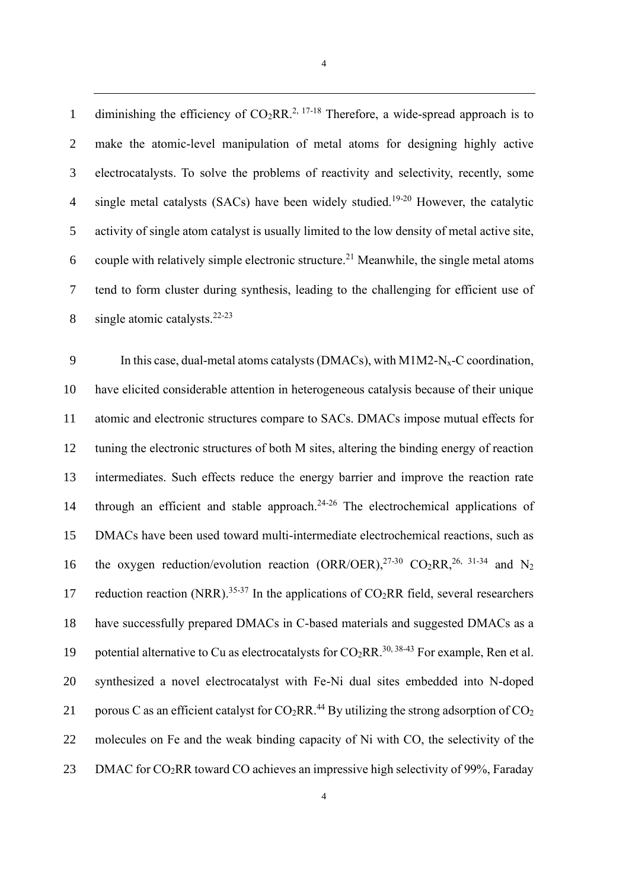1 diminishing the efficiency of  $CO_2RR^{2,17-18}$  Therefore, a wide-spread approach is to 2 make the atomic-level manipulation of metal atoms for designing highly active 3 electrocatalysts. To solve the problems of reactivity and selectivity, recently, some 4 single metal catalysts (SACs) have been widely studied.<sup>19-20</sup> However, the catalytic 5 activity of single atom catalyst is usually limited to the low density of metal active site, 6 couple with relatively simple electronic structure.<sup>21</sup> Meanwhile, the single metal atoms 7 tend to form cluster during synthesis, leading to the challenging for efficient use of 8 single atomic catalysts.  $22-23$ 

4

9 In this case, dual-metal atoms catalysts (DMACs), with M1M2- $N_x$ -C coordination, 10 have elicited considerable attention in heterogeneous catalysis because of their unique 11 atomic and electronic structures compare to SACs. DMACs impose mutual effects for 12 tuning the electronic structures of both M sites, altering the binding energy of reaction 13 intermediates. Such effects reduce the energy barrier and improve the reaction rate 14 through an efficient and stable approach. $24-26$  The electrochemical applications of 15 DMACs have been used toward multi-intermediate electrochemical reactions, such as 16 the oxygen reduction/evolution reaction (ORR/OER),  $27-30$  CO<sub>2</sub>RR,  $26, 31-34$  and N<sub>2</sub> 17 reduction reaction (NRR).<sup>35-37</sup> In the applications of  $CO<sub>2</sub>RR$  field, several researchers 18 have successfully prepared DMACs in C-based materials and suggested DMACs as a 19 potential alternative to Cu as electrocatalysts for  $CO_2RR$ . <sup>30, 38-43</sup> For example, Ren et al. 20 synthesized a novel electrocatalyst with Fe-Ni dual sites embedded into N-doped 21 porous C as an efficient catalyst for  $CO<sub>2</sub>RR<sup>44</sup>$  By utilizing the strong adsorption of  $CO<sub>2</sub>$ 22 molecules on Fe and the weak binding capacity of Ni with CO, the selectivity of the 23 DMAC for CO<sub>2</sub>RR toward CO achieves an impressive high selectivity of 99%, Faraday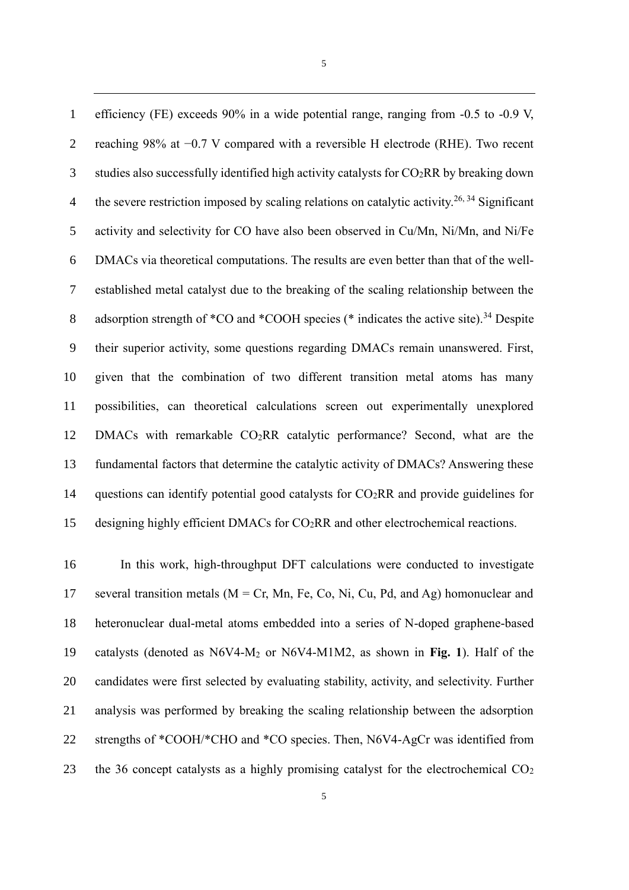efficiency (FE) exceeds 90% in a wide potential range, ranging from -0.5 to -0.9 V, reaching 98% at −0.7 V compared with a reversible H electrode (RHE). Two recent studies also successfully identified high activity catalysts for  $CO<sub>2</sub>RR$  by breaking down 4 the severe restriction imposed by scaling relations on catalytic activity.<sup>26, 34</sup> Significant activity and selectivity for CO have also been observed in Cu/Mn, Ni/Mn, and Ni/Fe DMACs via theoretical computations. The results are even better than that of the well- established metal catalyst due to the breaking of the scaling relationship between the 8 adsorption strength of  $^*CO$  and  $^*COOH$  species ( $^*$  indicates the active site).<sup>34</sup> Despite their superior activity, some questions regarding DMACs remain unanswered. First, given that the combination of two different transition metal atoms has many possibilities, can theoretical calculations screen out experimentally unexplored 12 DMACs with remarkable  $CO<sub>2</sub>RR$  catalytic performance? Second, what are the fundamental factors that determine the catalytic activity of DMACs? Answering these 14 questions can identify potential good catalysts for  $CO<sub>2</sub>RR$  and provide guidelines for 15 designing highly efficient DMACs for CO<sub>2</sub>RR and other electrochemical reactions.

 In this work, high-throughput DFT calculations were conducted to investigate 17 several transition metals ( $M = Cr$ , Mn, Fe, Co, Ni, Cu, Pd, and Ag) homonuclear and heteronuclear dual-metal atoms embedded into a series of N-doped graphene-based catalysts (denoted as N6V4-M<sup>2</sup> or N6V4-M1M2, as shown in **Fig. 1**). Half of the candidates were first selected by evaluating stability, activity, and selectivity. Further analysis was performed by breaking the scaling relationship between the adsorption 22 strengths of \*COOH/\*CHO and \*CO species. Then, N6V4-AgCr was identified from 23 the 36 concept catalysts as a highly promising catalyst for the electrochemical  $CO<sub>2</sub>$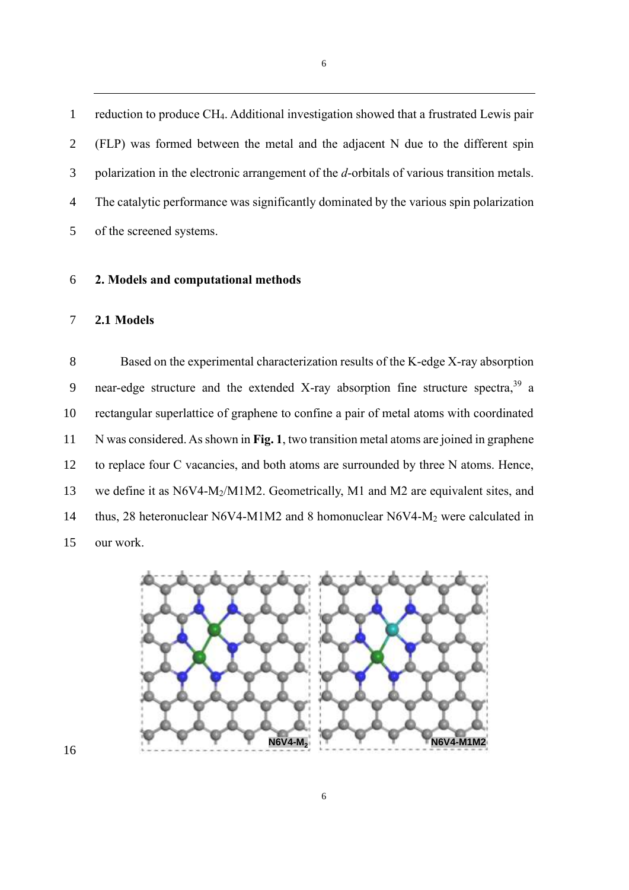reduction to produce CH4. Additional investigation showed that a frustrated Lewis pair (FLP) was formed between the metal and the adjacent N due to the different spin polarization in the electronic arrangement of the *d*-orbitals of various transition metals. The catalytic performance was significantly dominated by the various spin polarization of the screened systems.

#### **2. Models and computational methods**

## **2.1 Models**

 Based on the experimental characterization results of the K-edge X-ray absorption 9 near-edge structure and the extended X-ray absorption fine structure spectra, a rectangular superlattice of graphene to confine a pair of metal atoms with coordinated N was considered. As shown in **Fig. 1**, two transition metal atoms are joined in graphene to replace four C vacancies, and both atoms are surrounded by three N atoms. Hence, we define it as N6V4-M2/M1M2. Geometrically, M1 and M2 are equivalent sites, and thus, 28 heteronuclear N6V4-M1M2 and 8 homonuclear N6V4-M<sup>2</sup> were calculated in our work.

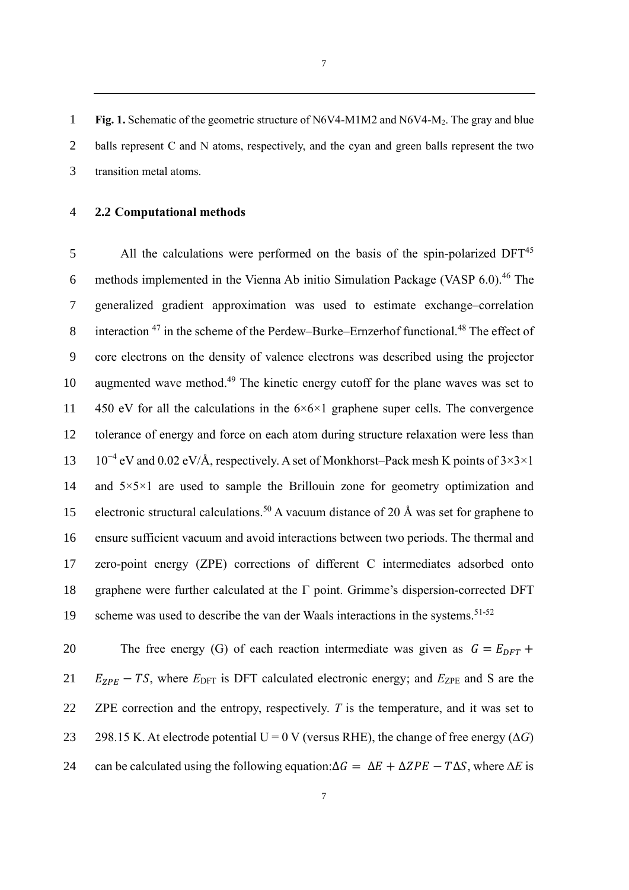**Fig. 1.** Schematic of the geometric structure of N6V4-M1M2 and N6V4-M2. The gray and blue 2 balls represent C and N atoms, respectively, and the cyan and green balls represent the two transition metal atoms.

**2.2 Computational methods**

 All the calculations were performed on the basis of the spin-polarized DFT<sup>45</sup> 6 methods implemented in the Vienna Ab initio Simulation Package (VASP  $6.0$ ).<sup>46</sup> The generalized gradient approximation was used to estimate exchange–correlation 8 interaction in the scheme of the Perdew–Burke–Ernzerhof functional.<sup>48</sup> The effect of core electrons on the density of valence electrons was described using the projector 10 augmented wave method.<sup>49</sup> The kinetic energy cutoff for the plane waves was set to 11 450 eV for all the calculations in the  $6\times6\times1$  graphene super cells. The convergence tolerance of energy and force on each atom during structure relaxation were less than 10−4 eV and 0.02 eV/Å, respectively. A set of Monkhorst–Pack mesh K points of 3×3×1 and 5×5×1 are used to sample the Brillouin zone for geometry optimization and 15 electronic structural calculations.<sup>50</sup> A vacuum distance of 20 Å was set for graphene to ensure sufficient vacuum and avoid interactions between two periods. The thermal and zero-point energy (ZPE) corrections of different C intermediates adsorbed onto 18 graphene were further calculated at the  $\Gamma$  point. Grimme's dispersion-corrected DFT 19 scheme was used to describe the van der Waals interactions in the systems.<sup>51-52</sup>

20 The free energy (G) of each reaction intermediate was given as  $G = E_{DFT}$  + 21  $E_{ZPE} - TS$ , where  $E_{DFT}$  is DFT calculated electronic energy; and  $E_{ZPE}$  and S are the ZPE correction and the entropy, respectively. *T* is the temperature, and it was set to 298.15 K. At electrode potential U = 0 V (versus RHE), the change of free energy (∆*G*) 24 can be calculated using the following equation: $\Delta G = \Delta E + \Delta ZPE - T\Delta S$ , where  $\Delta E$  is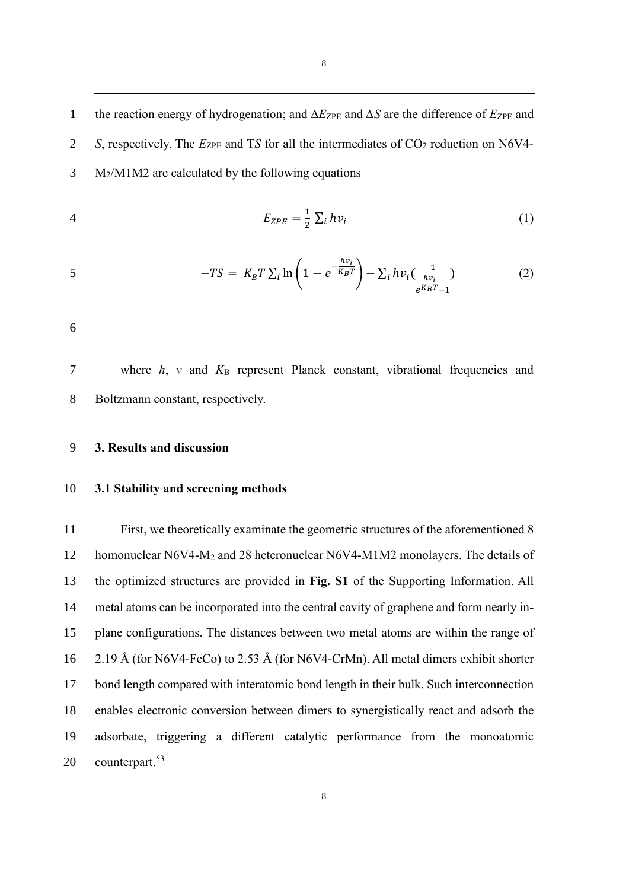the reaction energy of hydrogenation; and ∆*E*ZPE and *∆S* are the difference of *E*ZPE and 2 *S*, respectively. The  $E_{ZPE}$  and TS for all the intermediates of CO<sub>2</sub> reduction on N6V4-M<sub>2</sub>/M1M2 are calculated by the following equations

$$
E_{ZPE} = \frac{1}{2} \sum_{i} h v_i \tag{1}
$$

$$
-TS = K_B T \sum_i \ln \left( 1 - e^{-\frac{hv_i}{K_B T}} \right) - \sum_i h v_i \left( \frac{1}{e^{\frac{hv_i}{K_B T}} - 1} \right) \tag{2}
$$

7 where *h*, *v* and *K*B represent Planck constant, vibrational frequencies and Boltzmann constant, respectively.

## **3. Results and discussion**

#### **3.1 Stability and screening methods**

 First, we theoretically examinate the geometric structures of the aforementioned 8 homonuclear N6V4-M<sup>2</sup> and 28 heteronuclear N6V4-M1M2 monolayers. The details of the optimized structures are provided in **Fig. S1** of the Supporting Information. All metal atoms can be incorporated into the central cavity of graphene and form nearly in- plane configurations. The distances between two metal atoms are within the range of 2.19 Å (for N6V4-FeCo) to 2.53 Å (for N6V4-CrMn). All metal dimers exhibit shorter bond length compared with interatomic bond length in their bulk. Such interconnection enables electronic conversion between dimers to synergistically react and adsorb the adsorbate, triggering a different catalytic performance from the monoatomic 20 counterpart.<sup>53</sup>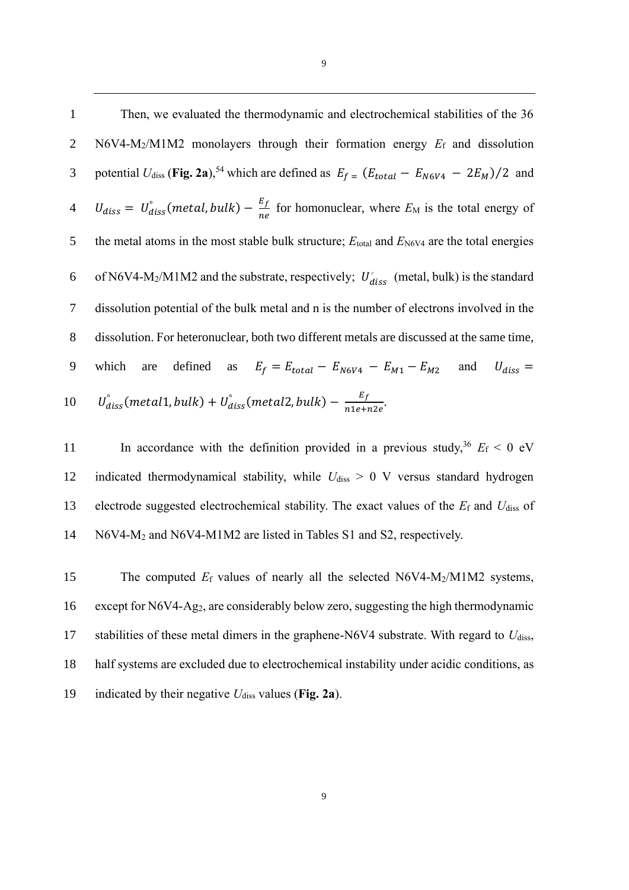1 Then, we evaluated the thermodynamic and electrochemical stabilities of the 36 2 N6V4-M2/M1M2 monolayers through their formation energy *E*<sup>f</sup> and dissolution 3 potential  $U_{\text{diss}}$  (**Fig. 2a**),<sup>54</sup> which are defined as  $E_f = (E_{total} - E_{N6V4} - 2E_M)/2$  and  $U_{diss} = U_{diss}^{\circ} (metal, bulk) - \frac{E_f}{ne}$  $\frac{d}{d\theta}$   $f_{diss} = U_{diss}^{s}$  (*metal, bulk*) –  $\frac{L}{n_e}$  for homonuclear, where  $E_M$  is the total energy of 5 the metal atoms in the most stable bulk structure;  $E_{\text{total}}$  and  $E_{\text{N6V4}}$  are the total energies 6 of N6V4-M<sub>2</sub>/M1M2 and the substrate, respectively;  $U_{diss}^{\circ}$  (metal, bulk) is the standard 7 dissolution potential of the bulk metal and n is the number of electrons involved in the 8 dissolution. For heteronuclear, both two different metals are discussed at the same time, 9 which are defined as  $E_f = E_{total} - E_{N6V4} - E_{M1} - E_{M2}$  and  $U_{diss} =$  $U_{diss}^{\circ} (metal1, bulk) + U_{diss}^{\circ} (metal2, bulk) - \frac{E_f}{m1e+1}$ 10  $U_{diss}$  (metal1, bulk) +  $U_{diss}$  (metal2, bulk)  $-\frac{L_f}{n1e+n2e}$ .

In accordance with the definition provided in a previous study,<sup>36</sup>  $E_f < 0$  eV 12 indicated thermodynamical stability, while  $U_{\text{diss}} > 0$  V versus standard hydrogen 13 electrode suggested electrochemical stability. The exact values of the *E*<sup>f</sup> and *U*diss of 14 N6V4-M<sup>2</sup> and N6V4-M1M2 are listed in Tables S1 and S2, respectively.

15 The computed  $E_f$  values of nearly all the selected N6V4-M<sub>2</sub>/M1M2 systems, except for N6V4-Ag2, are considerably below zero, suggesting the high thermodynamic stabilities of these metal dimers in the graphene-N6V4 substrate. With regard to *U*diss, half systems are excluded due to electrochemical instability under acidic conditions, as indicated by their negative *U*diss values (**Fig. 2a**).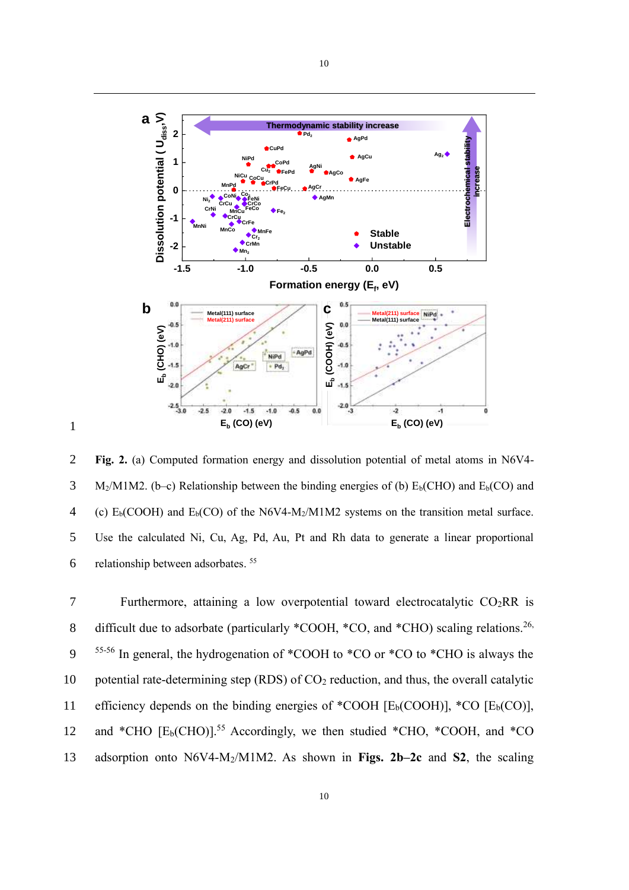

2 **Fig. 2.** (a) Computed formation energy and dissolution potential of metal atoms in N6V4- 3 M<sub>2</sub>/M1M2. (b–c) Relationship between the binding energies of (b)  $E_b(CHO)$  and  $E_b(CO)$  and 4 (c)  $E_b(COOH)$  and  $E_b(CO)$  of the N6V4-M<sub>2</sub>/M1M2 systems on the transition metal surface. 5 Use the calculated Ni, Cu, Ag, Pd, Au, Pt and Rh data to generate a linear proportional relationship between adsorbates. <sup>55</sup> 6

1

7 Furthermore, attaining a low overpotential toward electrocatalytic  $CO<sub>2</sub>RR$  is 8 difficult due to adsorbate (particularly \*COOH, \*CO, and \*CHO) scaling relations.<sup>26,</sup> 55-56 9 In general, the hydrogenation of \*COOH to \*CO or \*CO to \*CHO is always the 10 potential rate-determining step (RDS) of CO<sup>2</sup> reduction, and thus, the overall catalytic 11 efficiency depends on the binding energies of \*COOH  $[E_b(COOH)]$ , \*CO  $[E_b(CO)]$ , 12 and \*CHO  $[E_b(CHO)]^{.55}$  Accordingly, we then studied \*CHO, \*COOH, and \*CO 13 adsorption onto N6V4-M2/M1M2. As shown in **Figs. 2b–2c** and **S2**, the scaling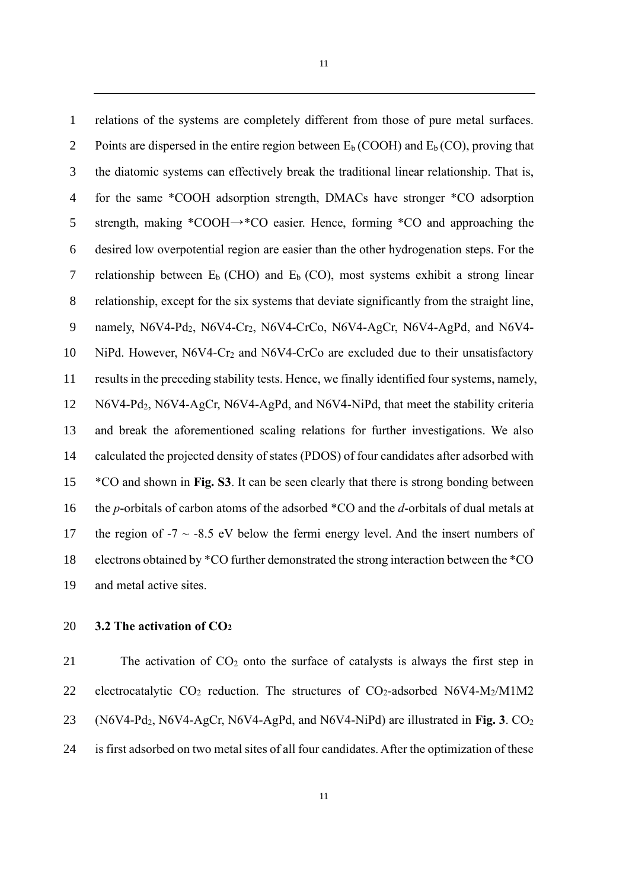relations of the systems are completely different from those of pure metal surfaces. 2 Points are dispersed in the entire region between  $E_b (COOH)$  and  $E_b (CO)$ , proving that the diatomic systems can effectively break the traditional linear relationship. That is, for the same \*COOH adsorption strength, DMACs have stronger \*CO adsorption strength, making \*COOH→\*CO easier. Hence, forming \*CO and approaching the desired low overpotential region are easier than the other hydrogenation steps. For the 7 relationship between  $E_b$  (CHO) and  $E_b$  (CO), most systems exhibit a strong linear relationship, except for the six systems that deviate significantly from the straight line, namely, N6V4-Pd2, N6V4-Cr2, N6V4-CrCo, N6V4-AgCr, N6V4-AgPd, and N6V4- NiPd. However, N6V4-Cr<sup>2</sup> and N6V4-CrCo are excluded due to their unsatisfactory results in the preceding stability tests. Hence, we finally identified four systems, namely, N6V4-Pd2, N6V4-AgCr, N6V4-AgPd, and N6V4-NiPd, that meet the stability criteria and break the aforementioned scaling relations for further investigations. We also calculated the projected density of states (PDOS) of four candidates after adsorbed with \*CO and shown in **Fig. S3**. It can be seen clearly that there is strong bonding between the *p*-orbitals of carbon atoms of the adsorbed \*CO and the *d*-orbitals of dual metals at 17 the region of  $-7 \sim -8.5$  eV below the fermi energy level. And the insert numbers of electrons obtained by \*CO further demonstrated the strong interaction between the \*CO and metal active sites.

# **3.2 The activation of CO<sup>2</sup>**

 The activation of CO<sup>2</sup> onto the surface of catalysts is always the first step in 22 electrocatalytic  $CO_2$  reduction. The structures of  $CO_2$ -adsorbed  $N6V4-M<sub>2</sub>/M1M2$ 23 (N6V4-Pd<sub>2</sub>, N6V4-AgCr, N6V4-AgPd, and N6V4-NiPd) are illustrated in Fig. 3. CO<sub>2</sub> is first adsorbed on two metal sites of all four candidates. After the optimization of these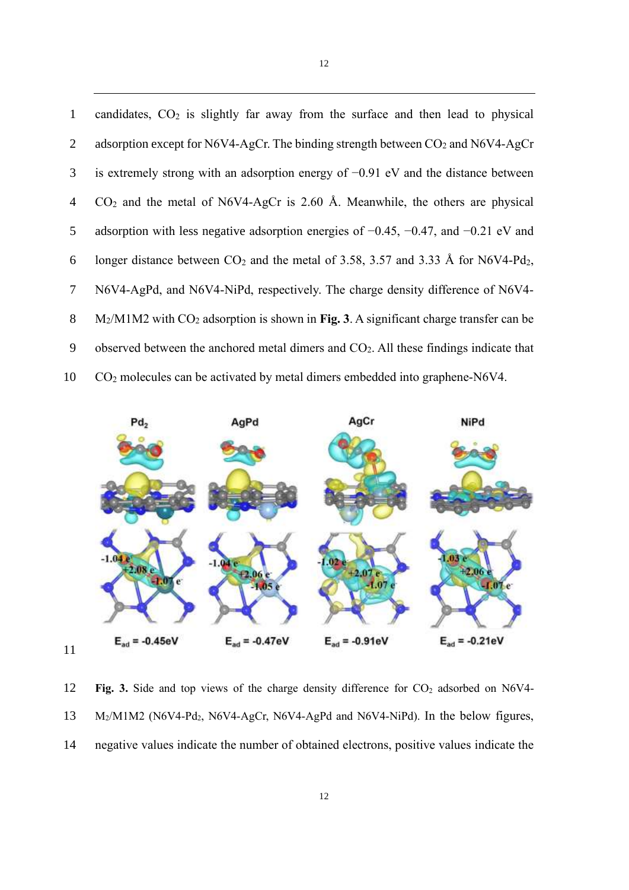1 candidates,  $CO<sub>2</sub>$  is slightly far away from the surface and then lead to physical 2 adsorption except for N6V4-AgCr. The binding strength between  $CO<sub>2</sub>$  and N6V4-AgCr is extremely strong with an adsorption energy of −0.91 eV and the distance between CO<sup>2</sup> and the metal of N6V4-AgCr is 2.60 Å. Meanwhile, the others are physical adsorption with less negative adsorption energies of −0.45, −0.47, and −0.21 eV and 6 longer distance between  $CO_2$  and the metal of 3.58, 3.57 and 3.33 Å for N6V4-Pd<sub>2</sub>, N6V4-AgPd, and N6V4-NiPd, respectively. The charge density difference of N6V4- M2/M1M2 with CO<sup>2</sup> adsorption is shown in **Fig. 3**. A significant charge transfer can be 9 observed between the anchored metal dimers and  $CO<sub>2</sub>$ . All these findings indicate that CO<sup>2</sup> molecules can be activated by metal dimers embedded into graphene-N6V4.



12 **Fig. 3.** Side and top views of the charge density difference for CO<sub>2</sub> adsorbed on N6V4- M2/M1M2 (N6V4-Pd2, N6V4-AgCr, N6V4-AgPd and N6V4-NiPd). In the below figures, negative values indicate the number of obtained electrons, positive values indicate the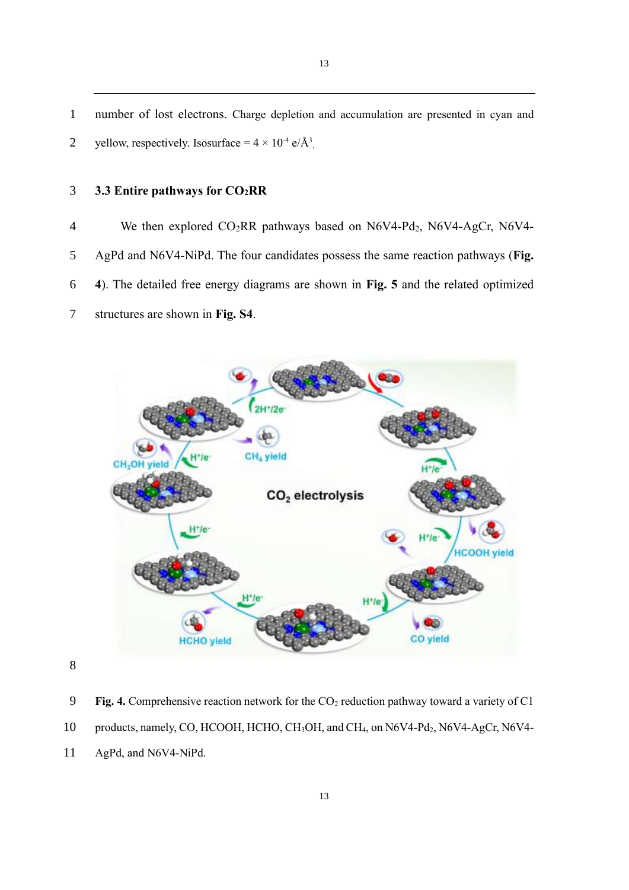number of lost electrons. Charge depletion and accumulation are presented in cyan and 2 yellow, respectively. Isosurface =  $4 \times 10^{-4}$  e/ $\AA^3$ .

## **3.3 Entire pathways for CO2RR**

4 We then explored CO<sub>2</sub>RR pathways based on N6V4-Pd<sub>2</sub>, N6V4-AgCr, N6V4- AgPd and N6V4-NiPd. The four candidates possess the same reaction pathways (**Fig. 4**). The detailed free energy diagrams are shown in **Fig. 5** and the related optimized structures are shown in **Fig. S4**.



 **Fig. 4.** Comprehensive reaction network for the CO<sup>2</sup> reduction pathway toward a variety of C1 products, namely, CO, HCOOH, HCHO, CH3OH, and CH4, on N6V4-Pd2, N6V4-AgCr, N6V4- AgPd, and N6V4-NiPd.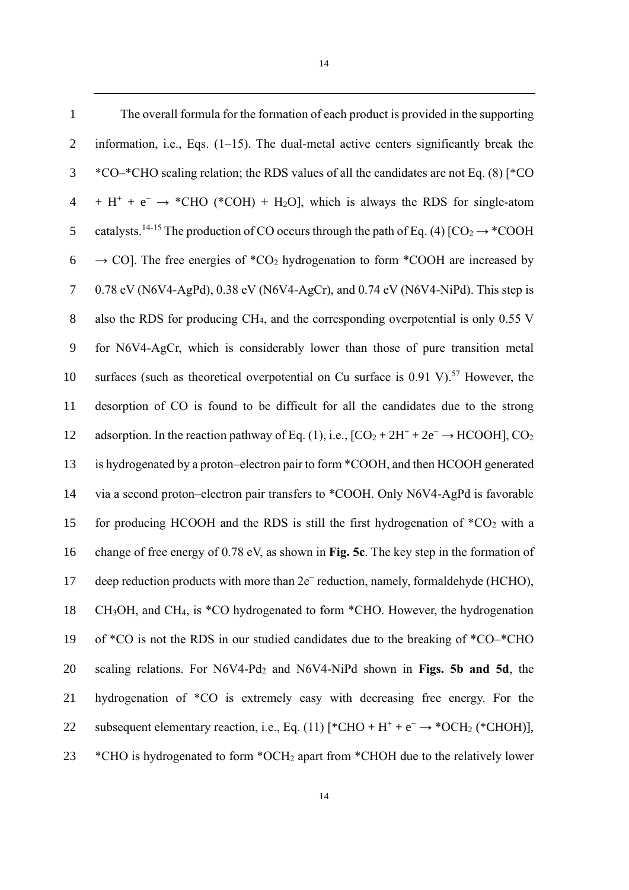| $\mathbf{1}$   | The overall formula for the formation of each product is provided in the supporting                                              |
|----------------|----------------------------------------------------------------------------------------------------------------------------------|
| $\overline{2}$ | information, i.e., Eqs. $(1-15)$ . The dual-metal active centers significantly break the                                         |
| 3              | *CO-*CHO scaling relation; the RDS values of all the candidates are not Eq. (8) [*CO                                             |
| $\overline{4}$ | + H <sup>+</sup> + e <sup>-</sup> $\rightarrow$ *CHO (*COH) + H <sub>2</sub> O], which is always the RDS for single-atom         |
| 5              | catalysts. <sup>14-15</sup> The production of CO occurs through the path of Eq. (4) $[CO_2 \rightarrow$ *COOH                    |
| 6              | $\rightarrow$ CO]. The free energies of *CO <sub>2</sub> hydrogenation to form *COOH are increased by                            |
| $\tau$         | $0.78$ eV (N6V4-AgPd), $0.38$ eV (N6V4-AgCr), and $0.74$ eV (N6V4-NiPd). This step is                                            |
| $8\,$          | also the RDS for producing CH <sub>4</sub> , and the corresponding overpotential is only 0.55 V                                  |
| $\mathbf{9}$   | for N6V4-AgCr, which is considerably lower than those of pure transition metal                                                   |
| 10             | surfaces (such as theoretical overpotential on Cu surface is $0.91$ V). <sup>57</sup> However, the                               |
| 11             | desorption of CO is found to be difficult for all the candidates due to the strong                                               |
| 12             | adsorption. In the reaction pathway of Eq. (1), i.e., $[CO_2 + 2H^+ + 2e^- \rightarrow HCOOH]$ , $CO_2$                          |
| 13             | is hydrogenated by a proton-electron pair to form *COOH, and then HCOOH generated                                                |
| 14             | via a second proton-electron pair transfers to *COOH. Only N6V4-AgPd is favorable                                                |
| 15             | for producing HCOOH and the RDS is still the first hydrogenation of *CO2 with a                                                  |
| 16             | change of free energy of 0.78 eV, as shown in Fig. 5c. The key step in the formation of                                          |
| 17             | deep reduction products with more than 2e <sup>-</sup> reduction, namely, formaldehyde (HCHO),                                   |
| 18             | CH <sub>3</sub> OH, and CH <sub>4</sub> , is *CO hydrogenated to form *CHO. However, the hydrogenation                           |
| 19             | of *CO is not the RDS in our studied candidates due to the breaking of *CO-*CHO                                                  |
| 20             | scaling relations. For N6V4-Pd <sub>2</sub> and N6V4-NiPd shown in Figs. 5b and 5d, the                                          |
| 21             | hydrogenation of *CO is extremely easy with decreasing free energy. For the                                                      |
| 22             | subsequent elementary reaction, i.e., Eq. (11) [*CHO + H <sup>+</sup> + e <sup>-</sup> $\rightarrow$ *OCH <sub>2</sub> (*CHOH)], |
| 23             | *CHO is hydrogenated to form *OCH <sub>2</sub> apart from *CHOH due to the relatively lower                                      |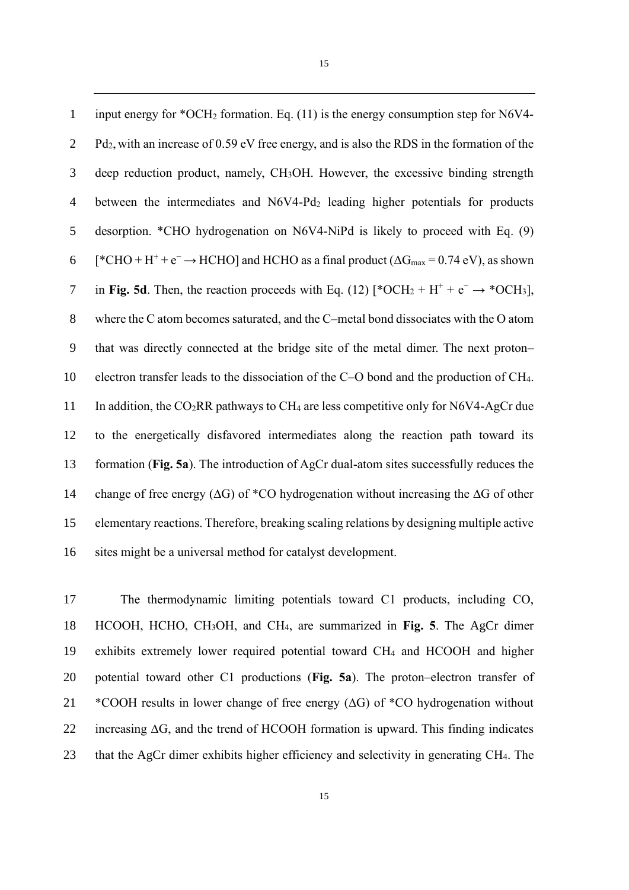input energy for \*OCH<sup>2</sup> formation. Eq. (11) is the energy consumption step for N6V4- Pd2, with an increase of 0.59 eV free energy, and is also the RDS in the formation of the deep reduction product, namely, CH3OH. However, the excessive binding strength 4 between the intermediates and N6V4-Pd<sub>2</sub> leading higher potentials for products desorption. \*CHO hydrogenation on N6V4-NiPd is likely to proceed with Eq. (9)  $[^{\ast}CHO + H^{+} + e^{-} \rightarrow HCHO]$  and HCHO as a final product ( $\Delta G_{max} = 0.74$  eV), as shown 7 in **Fig. 5d**. Then, the reaction proceeds with Eq. (12)  $[*OCH_2 + H^+ + e^- \rightarrow *OCH_3]$ , where the C atom becomes saturated, and the C–metal bond dissociates with the O atom that was directly connected at the bridge site of the metal dimer. The next proton– electron transfer leads to the dissociation of the C–O bond and the production of CH4. 11 In addition, the CO<sub>2</sub>RR pathways to CH<sub>4</sub> are less competitive only for N6V4-AgCr due to the energetically disfavored intermediates along the reaction path toward its formation (**Fig. 5a**). The introduction of AgCr dual-atom sites successfully reduces the change of free energy (∆G) of \*CO hydrogenation without increasing the ∆G of other elementary reactions. Therefore, breaking scaling relations by designing multiple active sites might be a universal method for catalyst development.

 The thermodynamic limiting potentials toward C1 products, including CO, HCOOH, HCHO, CH3OH, and CH4, are summarized in **Fig. 5**. The AgCr dimer exhibits extremely lower required potential toward CH<sup>4</sup> and HCOOH and higher potential toward other C1 productions (**Fig. 5a**). The proton–electron transfer of \*COOH results in lower change of free energy (∆G) of \*CO hydrogenation without increasing ∆G, and the trend of HCOOH formation is upward. This finding indicates that the AgCr dimer exhibits higher efficiency and selectivity in generating CH4. The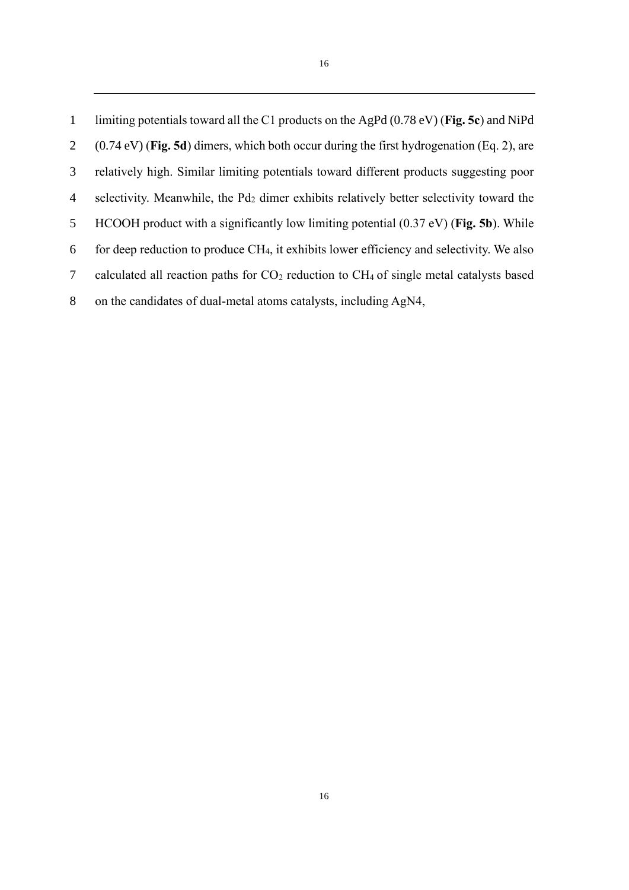limiting potentials toward all the C1 products on the AgPd (0.78 eV) (**Fig. 5c**) and NiPd (0.74 eV) (**Fig. 5d**) dimers, which both occur during the first hydrogenation (Eq. 2), are relatively high. Similar limiting potentials toward different products suggesting poor 4 selectivity. Meanwhile, the Pd<sub>2</sub> dimer exhibits relatively better selectivity toward the HCOOH product with a significantly low limiting potential (0.37 eV) (**Fig. 5b**). While for deep reduction to produce CH4, it exhibits lower efficiency and selectivity. We also 7 calculated all reaction paths for  $CO<sub>2</sub>$  reduction to  $CH<sub>4</sub>$  of single metal catalysts based on the candidates of dual-metal atoms catalysts, including AgN4,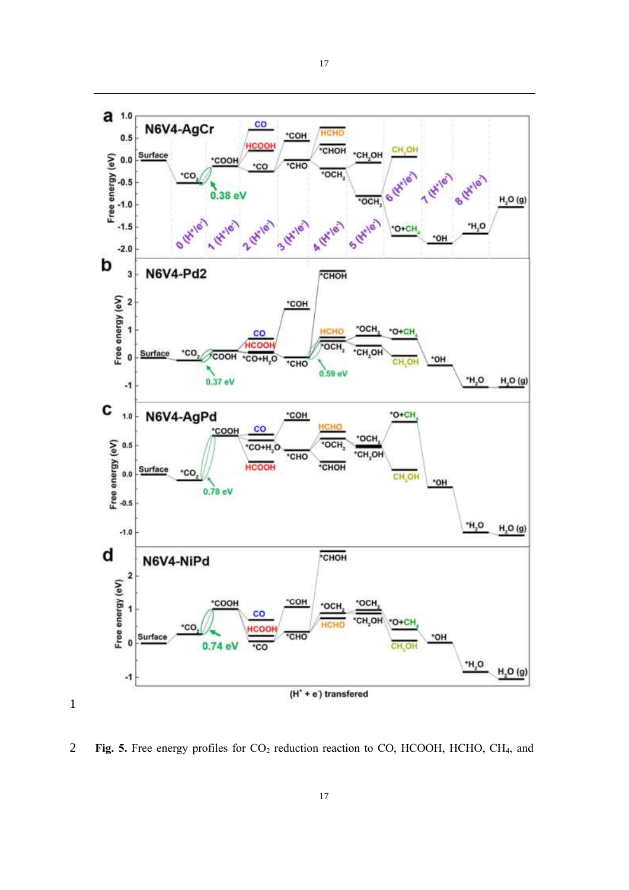

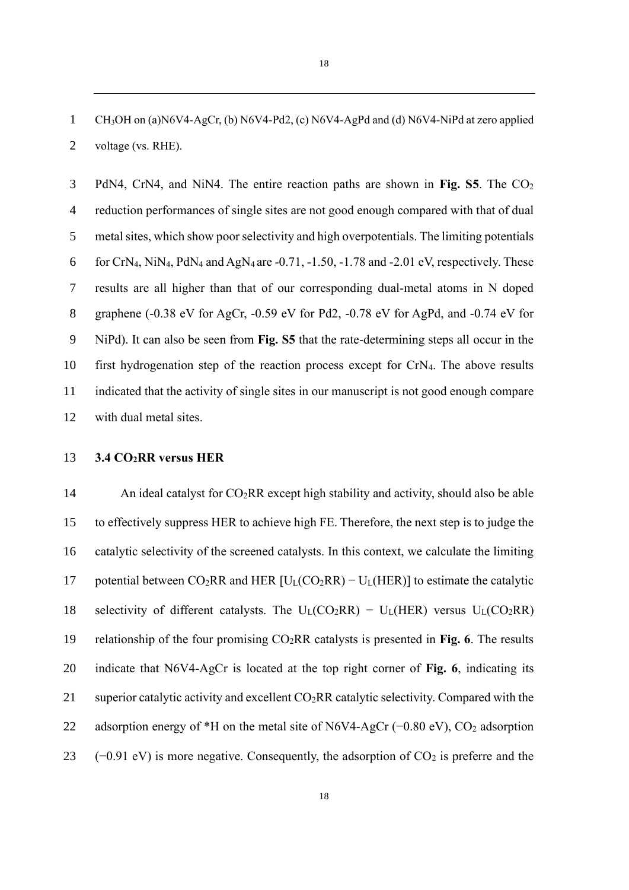CH3OH on (a)N6V4-AgCr, (b) N6V4-Pd2, (c) N6V4-AgPd and (d) N6V4-NiPd at zero applied voltage (vs. RHE).

 PdN4, CrN4, and NiN4. The entire reaction paths are shown in **Fig. S5**. The CO<sup>2</sup> reduction performances of single sites are not good enough compared with that of dual metal sites, which show poor selectivity and high overpotentials. The limiting potentials 6 for CrN<sub>4</sub>, NiN<sub>4</sub>, PdN<sub>4</sub> and AgN<sub>4</sub> are -0.71, -1.50, -1.78 and -2.01 eV, respectively. These results are all higher than that of our corresponding dual-metal atoms in N doped graphene (-0.38 eV for AgCr, -0.59 eV for Pd2, -0.78 eV for AgPd, and -0.74 eV for NiPd). It can also be seen from **Fig. S5** that the rate-determining steps all occur in the first hydrogenation step of the reaction process except for CrN4. The above results indicated that the activity of single sites in our manuscript is not good enough compare with dual metal sites.

#### **3.4 CO2RR versus HER**

14 An ideal catalyst for CO<sub>2</sub>RR except high stability and activity, should also be able to effectively suppress HER to achieve high FE. Therefore, the next step is to judge the catalytic selectivity of the screened catalysts. In this context, we calculate the limiting 17 potential between  $CO_2RR$  and HER  $[U_L(CO_2RR) - U_L(HER)]$  to estimate the catalytic 18 selectivity of different catalysts. The  $U_L(CO_2RR) - U_L(HER)$  versus  $U_L(CO_2RR)$  relationship of the four promising CO2RR catalysts is presented in **Fig. 6**. The results indicate that N6V4-AgCr is located at the top right corner of **Fig. 6**, indicating its superior catalytic activity and excellent CO2RR catalytic selectivity. Compared with the 22 adsorption energy of \*H on the metal site of N6V4-AgCr (−0.80 eV), CO<sub>2</sub> adsorption 23 ( $-0.91$  eV) is more negative. Consequently, the adsorption of  $CO<sub>2</sub>$  is preferre and the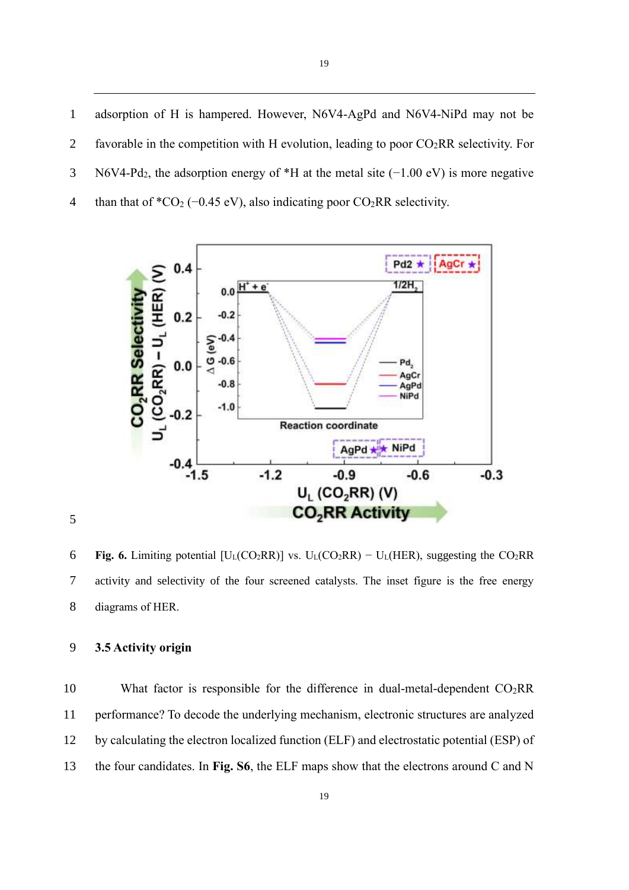adsorption of H is hampered. However, N6V4-AgPd and N6V4-NiPd may not be 2 favorable in the competition with H evolution, leading to poor  $CO<sub>2</sub>RR$  selectivity. For N6V4-Pd2, the adsorption energy of \*H at the metal site (−1.00 eV) is more negative 4 than that of  $^*CO_2$  (−0.45 eV), also indicating poor  $CO_2RR$  selectivity.



6 **Fig. 6.** Limiting potential  $[U_L(CO_2RR)]$  vs.  $U_L(CO_2RR) - U_L(HER)$ , suggesting the CO<sub>2</sub>RR activity and selectivity of the four screened catalysts. The inset figure is the free energy diagrams of HER.

**3.5 Activity origin** 

10 What factor is responsible for the difference in dual-metal-dependent  $CO<sub>2</sub>RR$  performance? To decode the underlying mechanism, electronic structures are analyzed by calculating the electron localized function (ELF) and electrostatic potential (ESP) of the four candidates. In **Fig. S6**, the ELF maps show that the electrons around C and N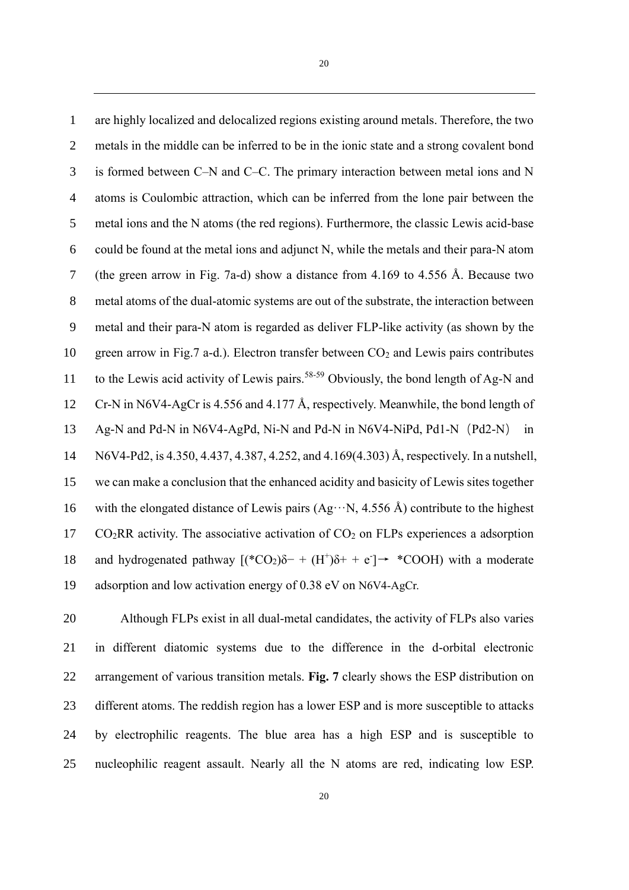are highly localized and delocalized regions existing around metals. Therefore, the two metals in the middle can be inferred to be in the ionic state and a strong covalent bond is formed between C–N and C–C. The primary interaction between metal ions and N atoms is Coulombic attraction, which can be inferred from the lone pair between the metal ions and the N atoms (the red regions). Furthermore, the classic Lewis acid-base could be found at the metal ions and adjunct N, while the metals and their para-N atom (the green arrow in Fig. 7a-d) show a distance from 4.169 to 4.556 Å. Because two metal atoms of the dual-atomic systems are out of the substrate, the interaction between metal and their para-N atom is regarded as deliver FLP-like activity (as shown by the 10 green arrow in Fig.7 a-d.). Electron transfer between  $CO<sub>2</sub>$  and Lewis pairs contributes 11 to the Lewis acid activity of Lewis pairs.<sup>58-59</sup> Obviously, the bond length of Ag-N and Cr-N in N6V4-AgCr is 4.556 and 4.177 Å, respectively. Meanwhile, the bond length of 13 Ag-N and Pd-N in N6V4-AgPd, Ni-N and Pd-N in N6V4-NiPd, Pd1-N (Pd2-N) in N6V4-Pd2, is 4.350, 4.437, 4.387, 4.252, and 4.169(4.303) Å, respectively. In a nutshell, we can make a conclusion that the enhanced acidity and basicity of Lewis sites together 16 with the elongated distance of Lewis pairs  $(Ag\cdots N, 4.556 \text{ Å})$  contribute to the highest CO<sub>2</sub>RR activity. The associative activation of CO<sub>2</sub> on FLPs experiences a adsorption 18 and hydrogenated pathway  $[(*CO_2)\delta^- + (H^+)\delta^+ + e^-] \rightarrow *COOH)$  with a moderate adsorption and low activation energy of 0.38 eV on N6V4-AgCr.

 Although FLPs exist in all dual-metal candidates, the activity of FLPs also varies in different diatomic systems due to the difference in the d-orbital electronic arrangement of various transition metals. **Fig. 7** clearly shows the ESP distribution on different atoms. The reddish region has a lower ESP and is more susceptible to attacks by electrophilic reagents. The blue area has a high ESP and is susceptible to nucleophilic reagent assault. Nearly all the N atoms are red, indicating low ESP.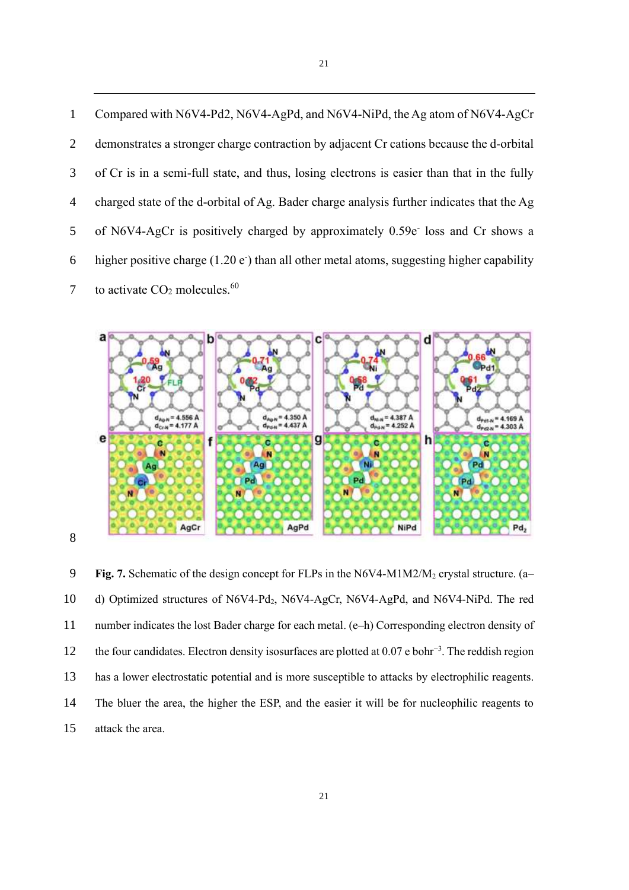Compared with N6V4-Pd2, N6V4-AgPd, and N6V4-NiPd, the Ag atom of N6V4-AgCr demonstrates a stronger charge contraction by adjacent Cr cations because the d-orbital of Cr is in a semi-full state, and thus, losing electrons is easier than that in the fully charged state of the d-orbital of Ag. Bader charge analysis further indicates that the Ag 5 of N6V4-AgCr is positively charged by approximately 0.59e<sup>-</sup> loss and Cr shows a 6 higher positive charge  $(1.20 \text{ e}^{\cdot})$  than all other metal atoms, suggesting higher capability 7 to activate  $CO<sub>2</sub>$  molecules.<sup>60</sup>



 **Fig. 7.** Schematic of the design concept for FLPs in the N6V4-M1M2/M<sup>2</sup> crystal structure. (a– d) Optimized structures of N6V4-Pd2, N6V4-AgCr, N6V4-AgPd, and N6V4-NiPd. The red number indicates the lost Bader charge for each metal. (e–h) Corresponding electron density of 12 the four candidates. Electron density isosurfaces are plotted at 0.07 e bohr<sup>−3</sup>. The reddish region has a lower electrostatic potential and is more susceptible to attacks by electrophilic reagents. The bluer the area, the higher the ESP, and the easier it will be for nucleophilic reagents to attack the area.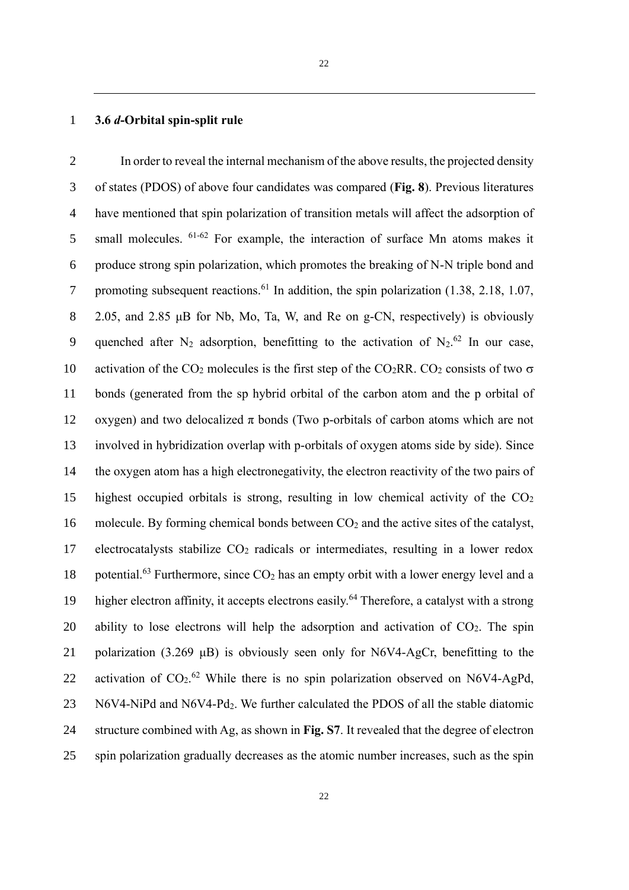#### 1 **3.6** *d***-Orbital spin-split rule**

2 In order to reveal the internal mechanism of the above results, the projected density 3 of states (PDOS) of above four candidates was compared (**Fig. 8**). Previous literatures 4 have mentioned that spin polarization of transition metals will affect the adsorption of 5 small molecules.  $61-62$  For example, the interaction of surface Mn atoms makes it 6 produce strong spin polarization, which promotes the breaking of N-N triple bond and 7 promoting subsequent reactions.<sup>61</sup> In addition, the spin polarization (1.38, 2.18, 1.07, 8 2.05, and 2.85 μB for Nb, Mo, Ta, W, and Re on g-CN, respectively) is obviously 9 quenched after  $N_2$  adsorption, benefitting to the activation of  $N_2$ .<sup>62</sup> In our case, 10 activation of the CO<sub>2</sub> molecules is the first step of the CO<sub>2</sub>RR. CO<sub>2</sub> consists of two  $\sigma$ 11 bonds (generated from the sp hybrid orbital of the carbon atom and the p orbital of 12 oxygen) and two delocalized  $\pi$  bonds (Two p-orbitals of carbon atoms which are not 13 involved in hybridization overlap with p-orbitals of oxygen atoms side by side). Since 14 the oxygen atom has a high electronegativity, the electron reactivity of the two pairs of 15 highest occupied orbitals is strong, resulting in low chemical activity of the  $CO<sub>2</sub>$ 16 molecule. By forming chemical bonds between  $CO<sub>2</sub>$  and the active sites of the catalyst, 17 electrocatalysts stabilize  $CO<sub>2</sub>$  radicals or intermediates, resulting in a lower redox 18 potential.<sup>63</sup> Furthermore, since  $CO<sub>2</sub>$  has an empty orbit with a lower energy level and a 19 higher electron affinity, it accepts electrons easily.<sup>64</sup> Therefore, a catalyst with a strong 20 ability to lose electrons will help the adsorption and activation of  $CO<sub>2</sub>$ . The spin 21 polarization (3.269 μB) is obviously seen only for N6V4-AgCr, benefitting to the 22 activation of  $CO<sub>2</sub>$ .<sup>62</sup> While there is no spin polarization observed on N6V4-AgPd, 23 N6V4-NiPd and N6V4-Pd2. We further calculated the PDOS of all the stable diatomic 24 structure combined with Ag, as shown in **Fig. S7**. It revealed that the degree of electron 25 spin polarization gradually decreases as the atomic number increases, such as the spin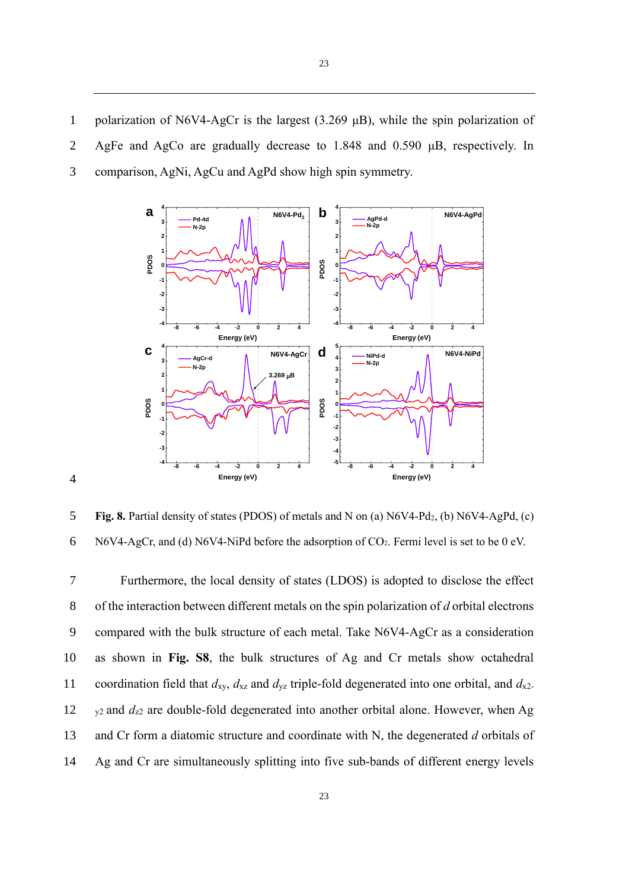1 polarization of N6V4-AgCr is the largest (3.269 μB), while the spin polarization of 2 AgFe and AgCo are gradually decrease to 1.848 and 0.590 μB, respectively. In 3 comparison, AgNi, AgCu and AgPd show high spin symmetry.



4

5 **Fig. 8.** Partial density of states (PDOS) of metals and N on (a) N6V4-Pd2, (b) N6V4-AgPd, (c) 6 N6V4-AgCr, and (d) N6V4-NiPd before the adsorption of CO2. Fermi level is set to be 0 eV.

 Furthermore, the local density of states (LDOS) is adopted to disclose the effect of the interaction between different metals on the spin polarization of *d* orbital electrons compared with the bulk structure of each metal. Take N6V4-AgCr as a consideration as shown in **Fig. S8**, the bulk structures of Ag and Cr metals show octahedral 11 coordination field that  $d_{xy}$ ,  $d_{xz}$  and  $d_{yz}$  triple-fold degenerated into one orbital, and  $d_{x2}$ . y<sub>2</sub> and  $d_{z2}$  are double-fold degenerated into another orbital alone. However, when Ag and Cr form a diatomic structure and coordinate with N, the degenerated *d* orbitals of Ag and Cr are simultaneously splitting into five sub-bands of different energy levels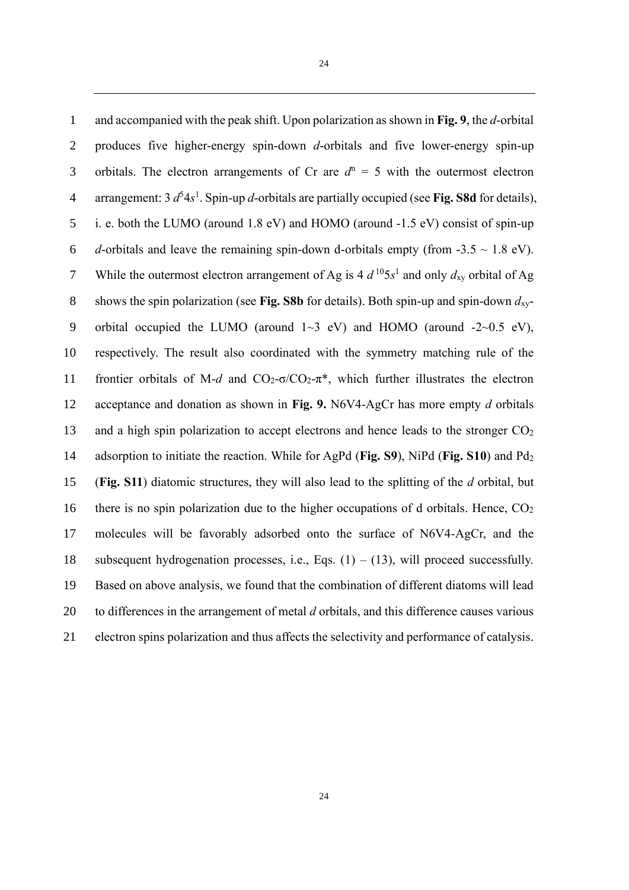and accompanied with the peak shift. Upon polarization as shown in **Fig. 9**, the *d*-orbital produces five higher-energy spin-down *d*-orbitals and five lower-energy spin-up 3 orbitals. The electron arrangements of Cr are  $d^n = 5$  with the outermost electron 4 arrangement:  $3 d<sup>5</sup>4s<sup>1</sup>$ . Spin-up *d*-orbitals are partially occupied (see **Fig. S8d** for details), i. e. both the LUMO (around 1.8 eV) and HOMO (around -1.5 eV) consist of spin-up *d*-orbitals and leave the remaining spin-down d-orbitals empty (from  $-3.5 \sim 1.8 \text{ eV}$ ). 7 While the outermost electron arrangement of Ag is 4  $d^{10}$ 5 $s^1$  and only  $d_{xy}$  orbital of Ag shows the spin polarization (see **Fig. S8b** for details). Both spin-up and spin-down *d*xy-9 orbital occupied the LUMO (around  $1~3~\text{eV}$ ) and HOMO (around  $-2~0.5~\text{eV}$ ), respectively. The result also coordinated with the symmetry matching rule of the 11 frontier orbitals of M-*d* and  $CO_2$ - $\sigma$ / $CO_2$ - $\pi^*$ , which further illustrates the electron acceptance and donation as shown in **Fig. 9.** N6V4-AgCr has more empty *d* orbitals 13 and a high spin polarization to accept electrons and hence leads to the stronger  $CO<sub>2</sub>$  adsorption to initiate the reaction. While for AgPd (**Fig. S9**), NiPd (**Fig. S10**) and Pd<sup>2</sup> (**Fig. S11**) diatomic structures, they will also lead to the splitting of the *d* orbital, but 16 there is no spin polarization due to the higher occupations of d orbitals. Hence,  $CO<sub>2</sub>$  molecules will be favorably adsorbed onto the surface of N6V4-AgCr, and the 18 subsequent hydrogenation processes, i.e., Eqs.  $(1) - (13)$ , will proceed successfully. Based on above analysis, we found that the combination of different diatoms will lead to differences in the arrangement of metal *d* orbitals, and this difference causes various electron spins polarization and thus affects the selectivity and performance of catalysis.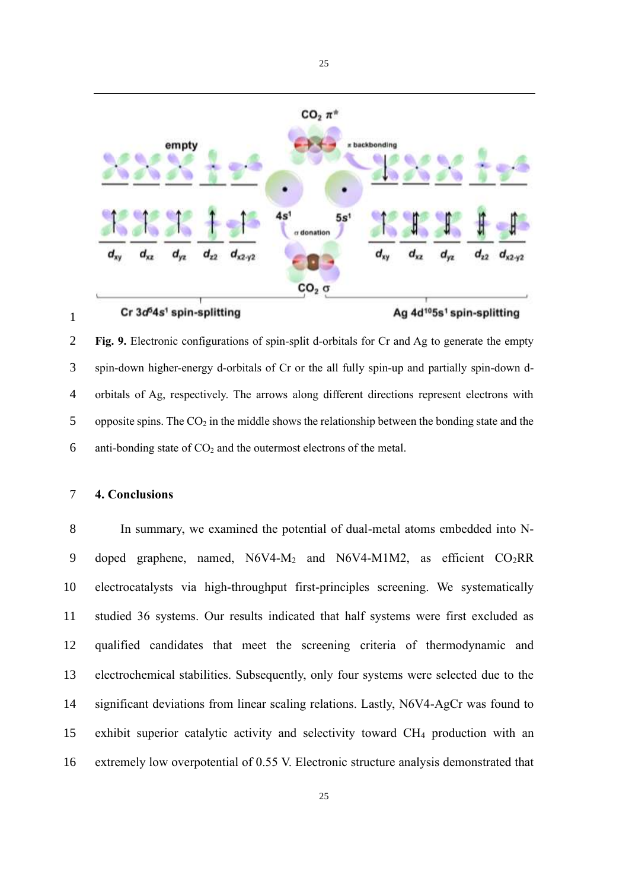

#### Cr 3d<sup>5</sup>4s<sup>1</sup> spin-splitting

## Ag 4d<sup>10</sup>5s<sup>1</sup> spin-splitting

 **Fig. 9.** Electronic configurations of spin-split d-orbitals for Cr and Ag to generate the empty spin-down higher-energy d-orbitals of Cr or the all fully spin-up and partially spin-down d- orbitals of Ag, respectively. The arrows along different directions represent electrons with 5 opposite spins. The  $CO<sub>2</sub>$  in the middle shows the relationship between the bonding state and the 6 anti-bonding state of  $CO<sub>2</sub>$  and the outermost electrons of the metal.

#### **4. Conclusions**

 In summary, we examined the potential of dual-metal atoms embedded into N-9 doped graphene, named,  $N6V4-M_2$  and  $N6V4-M1M_2$ , as efficient  $CO_2RR$  electrocatalysts via high-throughput first-principles screening. We systematically studied 36 systems. Our results indicated that half systems were first excluded as qualified candidates that meet the screening criteria of thermodynamic and electrochemical stabilities. Subsequently, only four systems were selected due to the significant deviations from linear scaling relations. Lastly, N6V4-AgCr was found to exhibit superior catalytic activity and selectivity toward CH<sup>4</sup> production with an extremely low overpotential of 0.55 V. Electronic structure analysis demonstrated that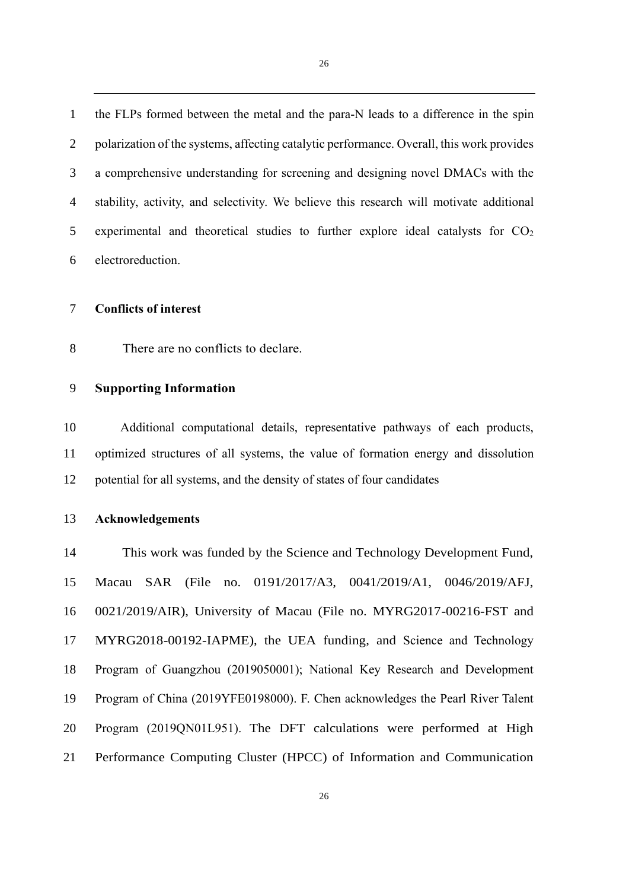the FLPs formed between the metal and the para-N leads to a difference in the spin polarization of the systems, affecting catalytic performance. Overall, this work provides a comprehensive understanding for screening and designing novel DMACs with the stability, activity, and selectivity. We believe this research will motivate additional 5 experimental and theoretical studies to further explore ideal catalysts for  $CO<sub>2</sub>$ electroreduction.

#### **Conflicts of interest**

There are no conflicts to declare.

## **Supporting Information**

 Additional computational details, representative pathways of each products, optimized structures of all systems, the value of formation energy and dissolution potential for all systems, and the density of states of four candidates

## **Acknowledgements**

 This work was funded by the Science and Technology Development Fund, Macau SAR (File no. 0191/2017/A3, 0041/2019/A1, 0046/2019/AFJ, 0021/2019/AIR), University of Macau (File no. MYRG2017-00216-FST and MYRG2018-00192-IAPME), the UEA funding, and Science and Technology Program of Guangzhou (2019050001); National Key Research and Development Program of China (2019YFE0198000). F. Chen acknowledges the Pearl River Talent Program (2019QN01L951). The DFT calculations were performed at High Performance Computing Cluster (HPCC) of Information and Communication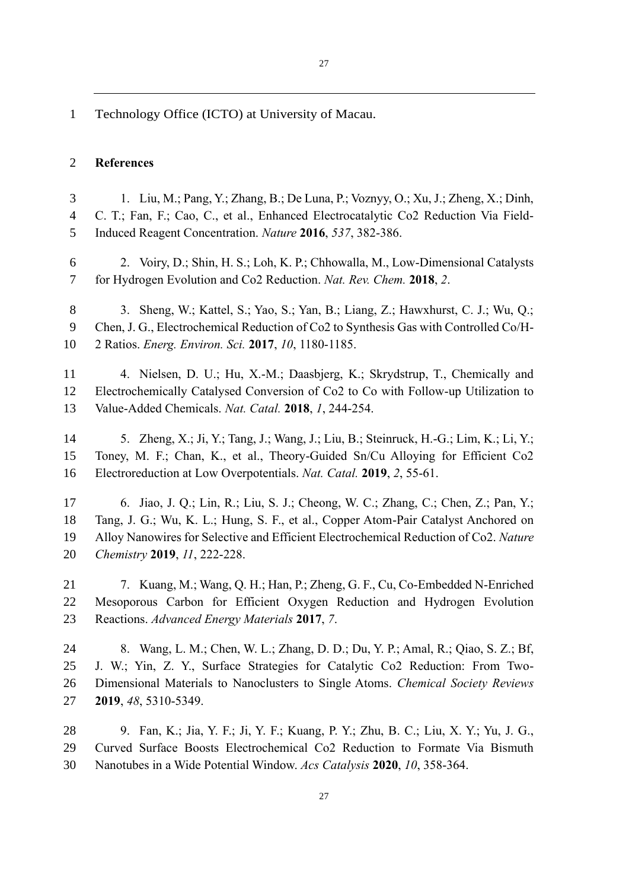Technology Office (ICTO) at University of Macau.

# **References**

| 3                   | 1. Liu, M.; Pang, Y.; Zhang, B.; De Luna, P.; Voznyy, O.; Xu, J.; Zheng, X.; Dinh,                                                               |
|---------------------|--------------------------------------------------------------------------------------------------------------------------------------------------|
| $\overline{4}$<br>5 | C. T.; Fan, F.; Cao, C., et al., Enhanced Electrocatalytic Co2 Reduction Via Field-<br>Induced Reagent Concentration. Nature 2016, 537, 382-386. |
| 6                   | 2. Voiry, D.; Shin, H. S.; Loh, K. P.; Chhowalla, M., Low-Dimensional Catalysts                                                                  |
| $\boldsymbol{7}$    | for Hydrogen Evolution and Co2 Reduction. Nat. Rev. Chem. 2018, 2.                                                                               |
| 8                   | 3. Sheng, W.; Kattel, S.; Yao, S.; Yan, B.; Liang, Z.; Hawxhurst, C. J.; Wu, Q.;                                                                 |
| 9                   | Chen, J. G., Electrochemical Reduction of Co2 to Synthesis Gas with Controlled Co/H-                                                             |
| 10                  | 2 Ratios. Energ. Environ. Sci. 2017, 10, 1180-1185.                                                                                              |
| 11                  | 4. Nielsen, D. U.; Hu, X.-M.; Daasbjerg, K.; Skrydstrup, T., Chemically and                                                                      |
| 12                  | Electrochemically Catalysed Conversion of Co2 to Co with Follow-up Utilization to                                                                |
| 13                  | Value-Added Chemicals. Nat. Catal. 2018, 1, 244-254.                                                                                             |
| 14                  | 5. Zheng, X.; Ji, Y.; Tang, J.; Wang, J.; Liu, B.; Steinruck, H.-G.; Lim, K.; Li, Y.;                                                            |
| 15                  | Toney, M. F.; Chan, K., et al., Theory-Guided Sn/Cu Alloying for Efficient Co2                                                                   |
| 16                  | Electroreduction at Low Overpotentials. Nat. Catal. 2019, 2, 55-61.                                                                              |
| 17                  | 6. Jiao, J. Q.; Lin, R.; Liu, S. J.; Cheong, W. C.; Zhang, C.; Chen, Z.; Pan, Y.;                                                                |
| 18                  | Tang, J. G.; Wu, K. L.; Hung, S. F., et al., Copper Atom-Pair Catalyst Anchored on                                                               |
| 19                  | Alloy Nanowires for Selective and Efficient Electrochemical Reduction of Co2. Nature                                                             |
| 20                  | Chemistry 2019, 11, 222-228.                                                                                                                     |
| 21                  | 7. Kuang, M.; Wang, Q. H.; Han, P.; Zheng, G. F., Cu, Co-Embedded N-Enriched                                                                     |
| 22                  | Mesoporous Carbon for Efficient Oxygen Reduction and Hydrogen Evolution                                                                          |
| 23                  | Reactions. Advanced Energy Materials 2017, 7.                                                                                                    |
| 24                  | 8. Wang, L. M.; Chen, W. L.; Zhang, D. D.; Du, Y. P.; Amal, R.; Qiao, S. Z.; Bf,                                                                 |
| 25                  | J. W.; Yin, Z. Y., Surface Strategies for Catalytic Co2 Reduction: From Two-                                                                     |
| 26                  | Dimensional Materials to Nanoclusters to Single Atoms. Chemical Society Reviews                                                                  |
| 27                  | 2019, 48, 5310-5349.                                                                                                                             |
|                     |                                                                                                                                                  |

 9. Fan, K.; Jia, Y. F.; Ji, Y. F.; Kuang, P. Y.; Zhu, B. C.; Liu, X. Y.; Yu, J. G., Curved Surface Boosts Electrochemical Co2 Reduction to Formate Via Bismuth Nanotubes in a Wide Potential Window. *Acs Catalysis* **2020**, *10*, 358-364.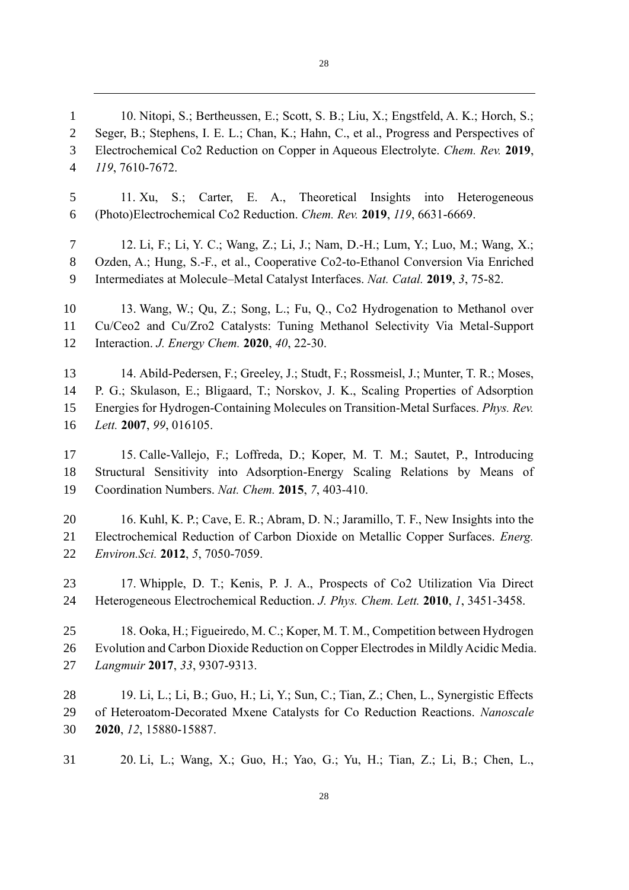10. Nitopi, S.; Bertheussen, E.; Scott, S. B.; Liu, X.; Engstfeld, A. K.; Horch, S.; Seger, B.; Stephens, I. E. L.; Chan, K.; Hahn, C., et al., Progress and Perspectives of Electrochemical Co2 Reduction on Copper in Aqueous Electrolyte. *Chem. Rev.* **2019**, *119*, 7610-7672.

- 11. Xu, S.; Carter, E. A., Theoretical Insights into Heterogeneous (Photo)Electrochemical Co2 Reduction. *Chem. Rev.* **2019**, *119*, 6631-6669.
- 12. Li, F.; Li, Y. C.; Wang, Z.; Li, J.; Nam, D.-H.; Lum, Y.; Luo, M.; Wang, X.; Ozden, A.; Hung, S.-F., et al., Cooperative Co2-to-Ethanol Conversion Via Enriched Intermediates at Molecule–Metal Catalyst Interfaces. *Nat. Catal.* **2019**, *3*, 75-82.

 13. Wang, W.; Qu, Z.; Song, L.; Fu, Q., Co2 Hydrogenation to Methanol over Cu/Ceo2 and Cu/Zro2 Catalysts: Tuning Methanol Selectivity Via Metal-Support Interaction. *J. Energy Chem.* **2020**, *40*, 22-30.

 14. Abild-Pedersen, F.; Greeley, J.; Studt, F.; Rossmeisl, J.; Munter, T. R.; Moses, P. G.; Skulason, E.; Bligaard, T.; Norskov, J. K., Scaling Properties of Adsorption Energies for Hydrogen-Containing Molecules on Transition-Metal Surfaces. *Phys. Rev. Lett.* **2007**, *99*, 016105.

 15. Calle-Vallejo, F.; Loffreda, D.; Koper, M. T. M.; Sautet, P., Introducing Structural Sensitivity into Adsorption-Energy Scaling Relations by Means of Coordination Numbers. *Nat. Chem.* **2015**, *7*, 403-410.

 16. Kuhl, K. P.; Cave, E. R.; Abram, D. N.; Jaramillo, T. F., New Insights into the Electrochemical Reduction of Carbon Dioxide on Metallic Copper Surfaces. *Energ. Environ.Sci.* **2012**, *5*, 7050-7059.

 17. Whipple, D. T.; Kenis, P. J. A., Prospects of Co2 Utilization Via Direct Heterogeneous Electrochemical Reduction. *J. Phys. Chem. Lett.* **2010**, *1*, 3451-3458.

 18. Ooka, H.; Figueiredo, M. C.; Koper, M. T. M., Competition between Hydrogen Evolution and Carbon Dioxide Reduction on Copper Electrodes in Mildly Acidic Media. *Langmuir* **2017**, *33*, 9307-9313.

 19. Li, L.; Li, B.; Guo, H.; Li, Y.; Sun, C.; Tian, Z.; Chen, L., Synergistic Effects of Heteroatom-Decorated Mxene Catalysts for Co Reduction Reactions. *Nanoscale*  **2020**, *12*, 15880-15887.

20. Li, L.; Wang, X.; Guo, H.; Yao, G.; Yu, H.; Tian, Z.; Li, B.; Chen, L.,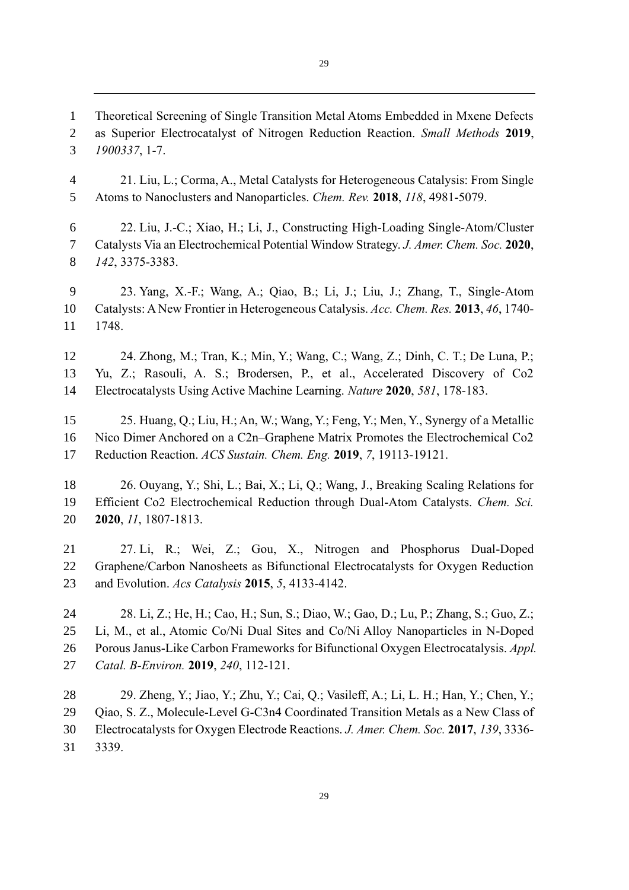Theoretical Screening of Single Transition Metal Atoms Embedded in Mxene Defects as Superior Electrocatalyst of Nitrogen Reduction Reaction. *Small Methods* **2019**, *1900337*, 1-7.

 21. Liu, L.; Corma, A., Metal Catalysts for Heterogeneous Catalysis: From Single Atoms to Nanoclusters and Nanoparticles. *Chem. Rev.* **2018**, *118*, 4981-5079.

 22. Liu, J.-C.; Xiao, H.; Li, J., Constructing High-Loading Single-Atom/Cluster Catalysts Via an Electrochemical Potential Window Strategy. *J. Amer. Chem. Soc.* **2020**, *142*, 3375-3383.

 23. Yang, X.-F.; Wang, A.; Qiao, B.; Li, J.; Liu, J.; Zhang, T., Single-Atom Catalysts: A New Frontier in Heterogeneous Catalysis. *Acc. Chem. Res.* **2013**, *46*, 1740- 1748.

 24. Zhong, M.; Tran, K.; Min, Y.; Wang, C.; Wang, Z.; Dinh, C. T.; De Luna, P.; Yu, Z.; Rasouli, A. S.; Brodersen, P., et al., Accelerated Discovery of Co2 Electrocatalysts Using Active Machine Learning. *Nature* **2020**, *581*, 178-183.

 25. Huang, Q.; Liu, H.; An, W.; Wang, Y.; Feng, Y.; Men, Y., Synergy of a Metallic Nico Dimer Anchored on a C2n–Graphene Matrix Promotes the Electrochemical Co2 Reduction Reaction. *ACS Sustain. Chem. Eng.* **2019**, *7*, 19113-19121.

 26. Ouyang, Y.; Shi, L.; Bai, X.; Li, Q.; Wang, J., Breaking Scaling Relations for Efficient Co2 Electrochemical Reduction through Dual-Atom Catalysts. *Chem. Sci.*  **2020**, *11*, 1807-1813.

 27. Li, R.; Wei, Z.; Gou, X., Nitrogen and Phosphorus Dual-Doped Graphene/Carbon Nanosheets as Bifunctional Electrocatalysts for Oxygen Reduction and Evolution. *Acs Catalysis* **2015**, *5*, 4133-4142.

- 28. Li, Z.; He, H.; Cao, H.; Sun, S.; Diao, W.; Gao, D.; Lu, P.; Zhang, S.; Guo, Z.; Li, M., et al., Atomic Co/Ni Dual Sites and Co/Ni Alloy Nanoparticles in N-Doped Porous Janus-Like Carbon Frameworks for Bifunctional Oxygen Electrocatalysis. *Appl. Catal. B-Environ.* **2019**, *240*, 112-121.
- 29. Zheng, Y.; Jiao, Y.; Zhu, Y.; Cai, Q.; Vasileff, A.; Li, L. H.; Han, Y.; Chen, Y.; Qiao, S. Z., Molecule-Level G-C3n4 Coordinated Transition Metals as a New Class of Electrocatalysts for Oxygen Electrode Reactions. *J. Amer. Chem. Soc.* **2017**, *139*, 3336- 3339.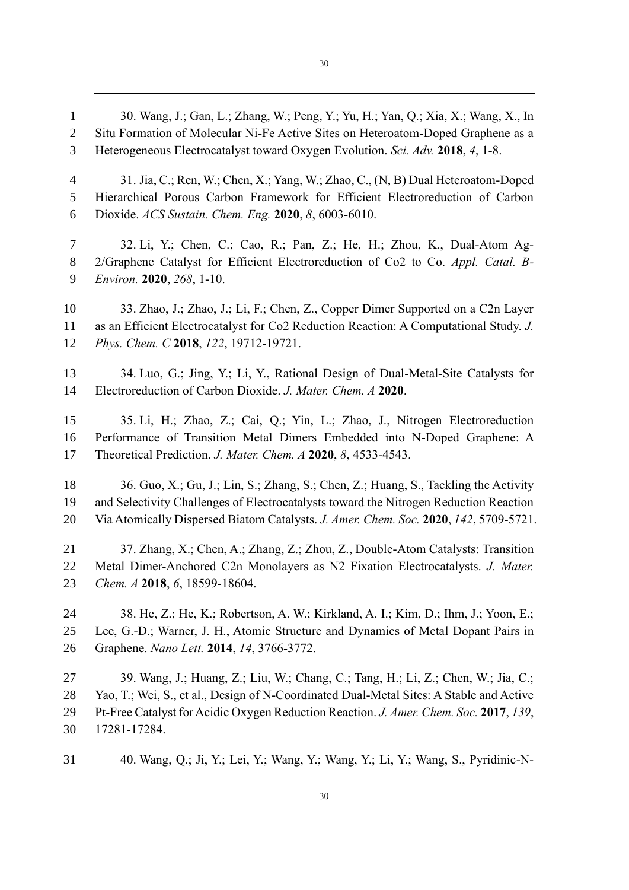| $\mathbf{1}$   | 30. Wang, J.; Gan, L.; Zhang, W.; Peng, Y.; Yu, H.; Yan, Q.; Xia, X.; Wang, X., In      |
|----------------|-----------------------------------------------------------------------------------------|
| $\overline{2}$ | Situ Formation of Molecular Ni-Fe Active Sites on Heteroatom-Doped Graphene as a        |
| 3              | Heterogeneous Electrocatalyst toward Oxygen Evolution. Sci. Adv. 2018, 4, 1-8.          |
| $\overline{4}$ | 31. Jia, C.; Ren, W.; Chen, X.; Yang, W.; Zhao, C., (N, B) Dual Heteroatom-Doped        |
| 5              | Hierarchical Porous Carbon Framework for Efficient Electroreduction of Carbon           |
| 6              | Dioxide. ACS Sustain. Chem. Eng. 2020, 8, 6003-6010.                                    |
| $\tau$         | 32. Li, Y.; Chen, C.; Cao, R.; Pan, Z.; He, H.; Zhou, K., Dual-Atom Ag-                 |
| 8              | 2/Graphene Catalyst for Efficient Electroreduction of Co2 to Co. Appl. Catal. B-        |
| 9              | <i>Environ.</i> 2020, 268, 1-10.                                                        |
| 10             | 33. Zhao, J.; Zhao, J.; Li, F.; Chen, Z., Copper Dimer Supported on a C2n Layer         |
| 11             | as an Efficient Electrocatalyst for Co2 Reduction Reaction: A Computational Study. J.   |
| 12             | Phys. Chem. C 2018, 122, 19712-19721.                                                   |
| 13             | 34. Luo, G.; Jing, Y.; Li, Y., Rational Design of Dual-Metal-Site Catalysts for         |
| 14             | Electroreduction of Carbon Dioxide. J. Mater. Chem. A 2020.                             |
| 15             | 35. Li, H.; Zhao, Z.; Cai, Q.; Yin, L.; Zhao, J., Nitrogen Electroreduction             |
| 16             | Performance of Transition Metal Dimers Embedded into N-Doped Graphene: A                |
| 17             | Theoretical Prediction. J. Mater. Chem. A 2020, 8, 4533-4543.                           |
| 18             | 36. Guo, X.; Gu, J.; Lin, S.; Zhang, S.; Chen, Z.; Huang, S., Tackling the Activity     |
| 19             | and Selectivity Challenges of Electrocatalysts toward the Nitrogen Reduction Reaction   |
| 20             | Via Atomically Dispersed Biatom Catalysts. J. Amer. Chem. Soc. 2020, 142, 5709-5721.    |
| 21             | 37. Zhang, X.; Chen, A.; Zhang, Z.; Zhou, Z., Double-Atom Catalysts: Transition         |
| 22             | Metal Dimer-Anchored C2n Monolayers as N2 Fixation Electrocatalysts. J. Mater.          |
| 23             | Chem. A 2018, 6, 18599-18604.                                                           |
| 24             | 38. He, Z.; He, K.; Robertson, A. W.; Kirkland, A. I.; Kim, D.; Ihm, J.; Yoon, E.;      |
| 25             | Lee, G.-D.; Warner, J. H., Atomic Structure and Dynamics of Metal Dopant Pairs in       |
| 26             | Graphene. Nano Lett. 2014, 14, 3766-3772.                                               |
| 27             | 39. Wang, J.; Huang, Z.; Liu, W.; Chang, C.; Tang, H.; Li, Z.; Chen, W.; Jia, C.;       |
| 28             | Yao, T.; Wei, S., et al., Design of N-Coordinated Dual-Metal Sites: A Stable and Active |
| 29             | Pt-Free Catalyst for Acidic Oxygen Reduction Reaction. J. Amer. Chem. Soc. 2017, 139,   |
| 30             | 17281-17284.                                                                            |
| 31             | 40. Wang, Q.; Ji, Y.; Lei, Y.; Wang, Y.; Wang, Y.; Li, Y.; Wang, S., Pyridinic-N-       |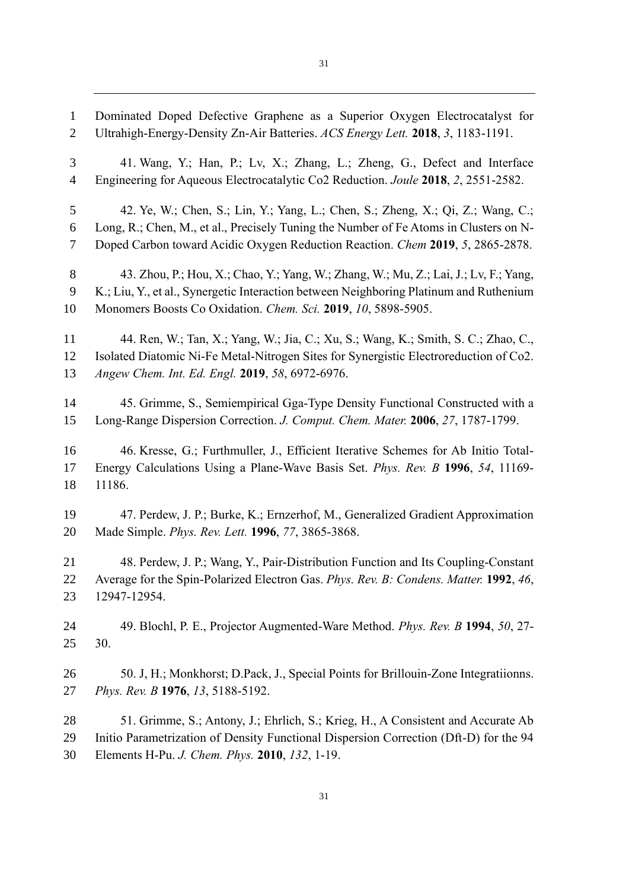Dominated Doped Defective Graphene as a Superior Oxygen Electrocatalyst for Ultrahigh-Energy-Density Zn-Air Batteries. *ACS Energy Lett.* **2018**, *3*, 1183-1191. 41. Wang, Y.; Han, P.; Lv, X.; Zhang, L.; Zheng, G., Defect and Interface Engineering for Aqueous Electrocatalytic Co2 Reduction. *Joule* **2018**, *2*, 2551-2582. 42. Ye, W.; Chen, S.; Lin, Y.; Yang, L.; Chen, S.; Zheng, X.; Qi, Z.; Wang, C.; Long, R.; Chen, M., et al., Precisely Tuning the Number of Fe Atoms in Clusters on N- Doped Carbon toward Acidic Oxygen Reduction Reaction. *Chem* **2019**, *5*, 2865-2878. 43. Zhou, P.; Hou, X.; Chao, Y.; Yang, W.; Zhang, W.; Mu, Z.; Lai, J.; Lv, F.; Yang, K.; Liu, Y., et al., Synergetic Interaction between Neighboring Platinum and Ruthenium Monomers Boosts Co Oxidation. *Chem. Sci.* **2019**, *10*, 5898-5905. 44. Ren, W.; Tan, X.; Yang, W.; Jia, C.; Xu, S.; Wang, K.; Smith, S. C.; Zhao, C., Isolated Diatomic Ni-Fe Metal-Nitrogen Sites for Synergistic Electroreduction of Co2. *Angew Chem. Int. Ed. Engl.* **2019**, *58*, 6972-6976. 45. Grimme, S., Semiempirical Gga-Type Density Functional Constructed with a Long-Range Dispersion Correction. *J. Comput. Chem. Mater.* **2006**, *27*, 1787-1799. 46. Kresse, G.; Furthmuller, J., Efficient Iterative Schemes for Ab Initio Total- Energy Calculations Using a Plane-Wave Basis Set. *Phys. Rev. B* **1996**, *54*, 11169- 11186. 47. Perdew, J. P.; Burke, K.; Ernzerhof, M., Generalized Gradient Approximation Made Simple. *Phys. Rev. Lett.* **1996**, *77*, 3865-3868. 48. Perdew, J. P.; Wang, Y., Pair-Distribution Function and Its Coupling-Constant Average for the Spin-Polarized Electron Gas. *Phys. Rev. B: Condens. Matter.* **1992**, *46*, 12947-12954. 49. Blochl, P. E., Projector Augmented-Ware Method. *Phys. Rev. B* **1994**, *50*, 27- 30. 50. J, H.; Monkhorst; D.Pack, J., Special Points for Brillouin-Zone Integratiionns. *Phys. Rev. B* **1976**, *13*, 5188-5192. 51. Grimme, S.; Antony, J.; Ehrlich, S.; Krieg, H., A Consistent and Accurate Ab Initio Parametrization of Density Functional Dispersion Correction (Dft-D) for the 94 Elements H-Pu. *J. Chem. Phys.* **2010**, *132*, 1-19.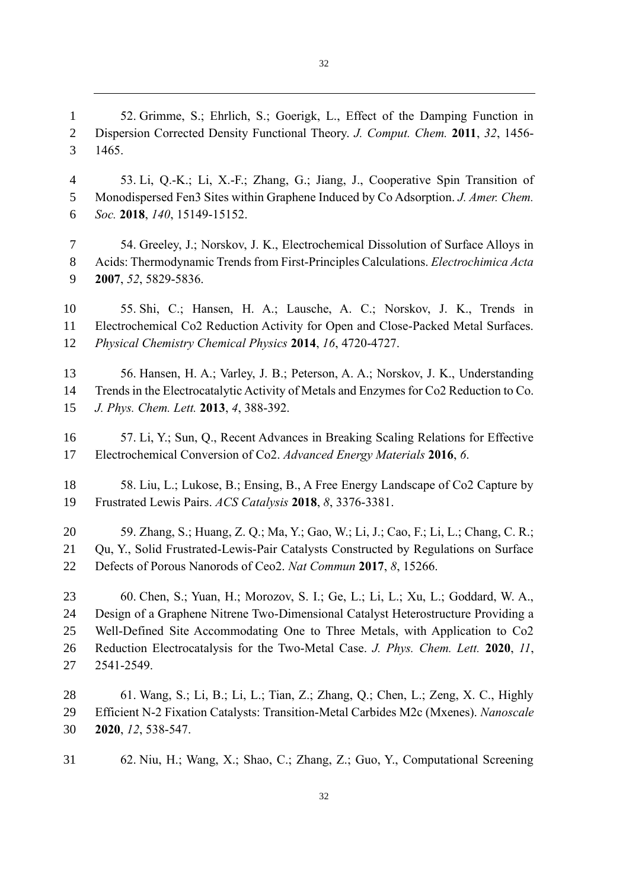52. Grimme, S.; Ehrlich, S.; Goerigk, L., Effect of the Damping Function in Dispersion Corrected Density Functional Theory. *J. Comput. Chem.* **2011**, *32*, 1456- 1465.

 53. Li, Q.-K.; Li, X.-F.; Zhang, G.; Jiang, J., Cooperative Spin Transition of Monodispersed Fen3 Sites within Graphene Induced by Co Adsorption. *J. Amer. Chem. Soc.* **2018**, *140*, 15149-15152.

 54. Greeley, J.; Norskov, J. K., Electrochemical Dissolution of Surface Alloys in Acids: Thermodynamic Trends from First-Principles Calculations. *Electrochimica Acta*  **2007**, *52*, 5829-5836.

 55. Shi, C.; Hansen, H. A.; Lausche, A. C.; Norskov, J. K., Trends in Electrochemical Co2 Reduction Activity for Open and Close-Packed Metal Surfaces. *Physical Chemistry Chemical Physics* **2014**, *16*, 4720-4727.

 56. Hansen, H. A.; Varley, J. B.; Peterson, A. A.; Norskov, J. K., Understanding Trends in the Electrocatalytic Activity of Metals and Enzymes for Co2 Reduction to Co. *J. Phys. Chem. Lett.* **2013**, *4*, 388-392.

 57. Li, Y.; Sun, Q., Recent Advances in Breaking Scaling Relations for Effective Electrochemical Conversion of Co2. *Advanced Energy Materials* **2016**, *6*.

 58. Liu, L.; Lukose, B.; Ensing, B., A Free Energy Landscape of Co2 Capture by Frustrated Lewis Pairs. *ACS Catalysis* **2018**, *8*, 3376-3381.

 59. Zhang, S.; Huang, Z. Q.; Ma, Y.; Gao, W.; Li, J.; Cao, F.; Li, L.; Chang, C. R.; Qu, Y., Solid Frustrated-Lewis-Pair Catalysts Constructed by Regulations on Surface Defects of Porous Nanorods of Ceo2. *Nat Commun* **2017**, *8*, 15266.

 60. Chen, S.; Yuan, H.; Morozov, S. I.; Ge, L.; Li, L.; Xu, L.; Goddard, W. A., Design of a Graphene Nitrene Two-Dimensional Catalyst Heterostructure Providing a Well-Defined Site Accommodating One to Three Metals, with Application to Co2 Reduction Electrocatalysis for the Two-Metal Case. *J. Phys. Chem. Lett.* **2020**, *11*, 2541-2549.

 61. Wang, S.; Li, B.; Li, L.; Tian, Z.; Zhang, Q.; Chen, L.; Zeng, X. C., Highly Efficient N-2 Fixation Catalysts: Transition-Metal Carbides M2c (Mxenes). *Nanoscale*  **2020**, *12*, 538-547.

62. Niu, H.; Wang, X.; Shao, C.; Zhang, Z.; Guo, Y., Computational Screening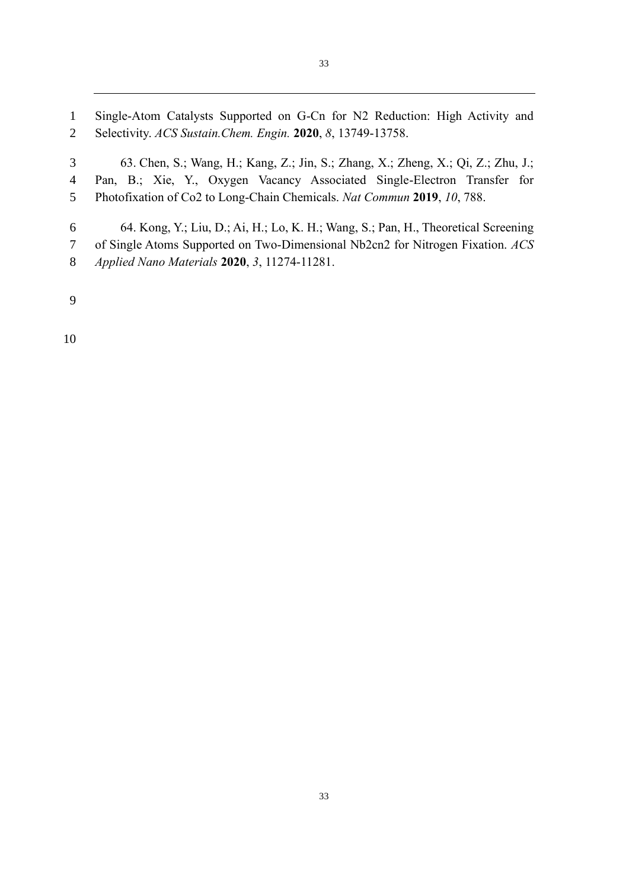Single-Atom Catalysts Supported on G-Cn for N2 Reduction: High Activity and Selectivity. *ACS Sustain.Chem. Engin.* **2020**, *8*, 13749-13758. 63. Chen, S.; Wang, H.; Kang, Z.; Jin, S.; Zhang, X.; Zheng, X.; Qi, Z.; Zhu, J.; Pan, B.; Xie, Y., Oxygen Vacancy Associated Single-Electron Transfer for Photofixation of Co2 to Long-Chain Chemicals. *Nat Commun* **2019**, *10*, 788. 64. Kong, Y.; Liu, D.; Ai, H.; Lo, K. H.; Wang, S.; Pan, H., Theoretical Screening of Single Atoms Supported on Two-Dimensional Nb2cn2 for Nitrogen Fixation. *ACS Applied Nano Materials* **2020**, *3*, 11274-11281.